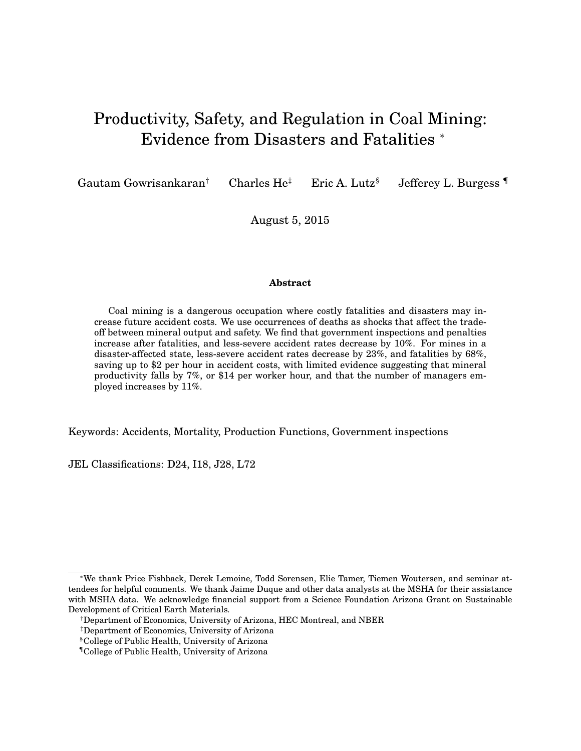# Productivity, Safety, and Regulation in Coal Mining: Evidence from Disasters and Fatalities <sup>∗</sup>

Gautam Gowrisankaran<sup>†</sup> Charles He<sup>‡</sup> Eric A. Lutz<sup>§</sup> Jefferey L. Burgess <sup>¶</sup>

August 5, 2015

#### **Abstract**

Coal mining is a dangerous occupation where costly fatalities and disasters may increase future accident costs. We use occurrences of deaths as shocks that affect the tradeoff between mineral output and safety. We find that government inspections and penalties increase after fatalities, and less-severe accident rates decrease by 10%. For mines in a disaster-affected state, less-severe accident rates decrease by 23%, and fatalities by 68%, saving up to \$2 per hour in accident costs, with limited evidence suggesting that mineral productivity falls by 7%, or \$14 per worker hour, and that the number of managers employed increases by 11%.

Keywords: Accidents, Mortality, Production Functions, Government inspections

JEL Classifications: D24, I18, J28, L72

<sup>∗</sup>We thank Price Fishback, Derek Lemoine, Todd Sorensen, Elie Tamer, Tiemen Woutersen, and seminar attendees for helpful comments. We thank Jaime Duque and other data analysts at the MSHA for their assistance with MSHA data. We acknowledge financial support from a Science Foundation Arizona Grant on Sustainable Development of Critical Earth Materials.

<sup>†</sup>Department of Economics, University of Arizona, HEC Montreal, and NBER

<sup>‡</sup>Department of Economics, University of Arizona

<sup>§</sup>College of Public Health, University of Arizona

<sup>¶</sup>College of Public Health, University of Arizona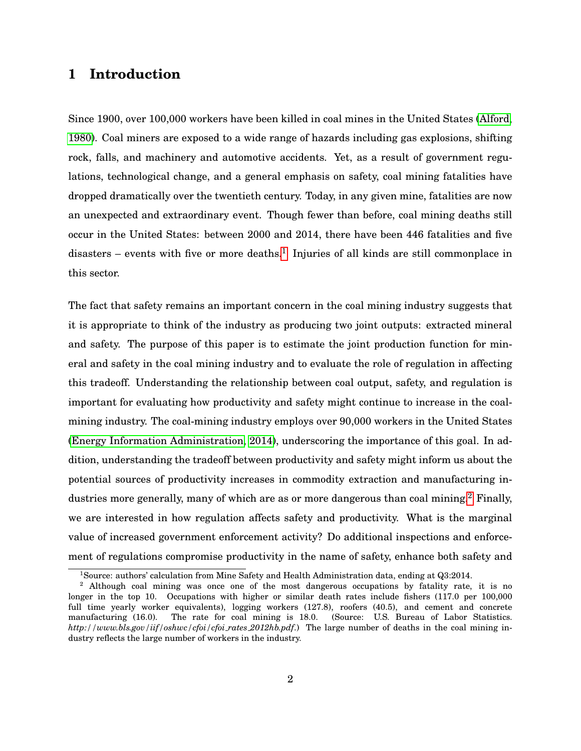# **1 Introduction**

Since 1900, over 100,000 workers have been killed in coal mines in the United States [\(Alford,](#page-41-0) [1980\)](#page-41-0). Coal miners are exposed to a wide range of hazards including gas explosions, shifting rock, falls, and machinery and automotive accidents. Yet, as a result of government regulations, technological change, and a general emphasis on safety, coal mining fatalities have dropped dramatically over the twentieth century. Today, in any given mine, fatalities are now an unexpected and extraordinary event. Though fewer than before, coal mining deaths still occur in the United States: between 2000 and 2014, there have been 446 fatalities and five disasters – events with five or more deaths.<sup>[1](#page-1-0)</sup> Injuries of all kinds are still commonplace in this sector.

The fact that safety remains an important concern in the coal mining industry suggests that it is appropriate to think of the industry as producing two joint outputs: extracted mineral and safety. The purpose of this paper is to estimate the joint production function for mineral and safety in the coal mining industry and to evaluate the role of regulation in affecting this tradeoff. Understanding the relationship between coal output, safety, and regulation is important for evaluating how productivity and safety might continue to increase in the coalmining industry. The coal-mining industry employs over 90,000 workers in the United States [\(Energy Information Administration, 2014\)](#page-41-1), underscoring the importance of this goal. In addition, understanding the tradeoff between productivity and safety might inform us about the potential sources of productivity increases in commodity extraction and manufacturing in-dustries more generally, many of which are as or more dangerous than coal mining.<sup>[2](#page-1-1)</sup> Finally, we are interested in how regulation affects safety and productivity. What is the marginal value of increased government enforcement activity? Do additional inspections and enforcement of regulations compromise productivity in the name of safety, enhance both safety and

<span id="page-1-1"></span><span id="page-1-0"></span><sup>1</sup>Source: authors' calculation from Mine Safety and Health Administration data, ending at Q3:2014.

<sup>&</sup>lt;sup>2</sup> Although coal mining was once one of the most dangerous occupations by fatality rate, it is no longer in the top 10. Occupations with higher or similar death rates include fishers (117.0 per 100,000 full time yearly worker equivalents), logging workers (127.8), roofers (40.5), and cement and concrete manufacturing (16.0). The rate for coal mining is 18.0. (Source: U.S. Bureau of Labor Statistics. *http://www.bls.gov/iif/oshwc/cfoi/cfoi rates 2012hb.pdf*.) The large number of deaths in the coal mining industry reflects the large number of workers in the industry.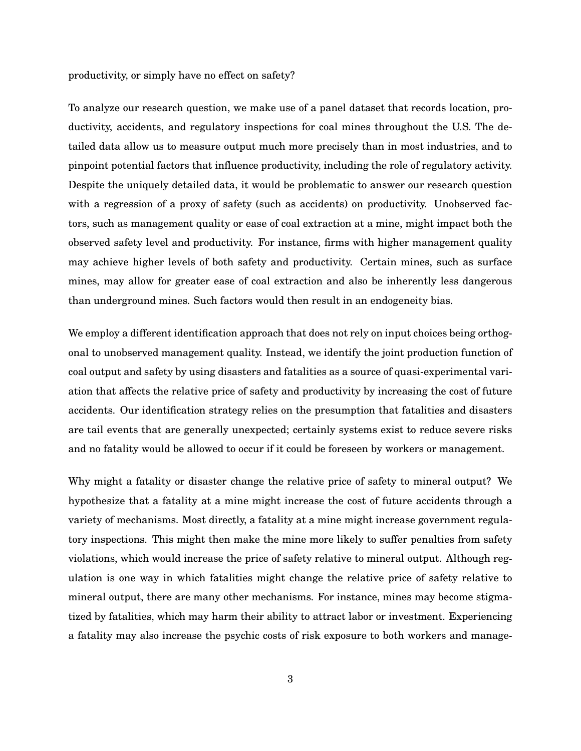productivity, or simply have no effect on safety?

To analyze our research question, we make use of a panel dataset that records location, productivity, accidents, and regulatory inspections for coal mines throughout the U.S. The detailed data allow us to measure output much more precisely than in most industries, and to pinpoint potential factors that influence productivity, including the role of regulatory activity. Despite the uniquely detailed data, it would be problematic to answer our research question with a regression of a proxy of safety (such as accidents) on productivity. Unobserved factors, such as management quality or ease of coal extraction at a mine, might impact both the observed safety level and productivity. For instance, firms with higher management quality may achieve higher levels of both safety and productivity. Certain mines, such as surface mines, may allow for greater ease of coal extraction and also be inherently less dangerous than underground mines. Such factors would then result in an endogeneity bias.

We employ a different identification approach that does not rely on input choices being orthogonal to unobserved management quality. Instead, we identify the joint production function of coal output and safety by using disasters and fatalities as a source of quasi-experimental variation that affects the relative price of safety and productivity by increasing the cost of future accidents. Our identification strategy relies on the presumption that fatalities and disasters are tail events that are generally unexpected; certainly systems exist to reduce severe risks and no fatality would be allowed to occur if it could be foreseen by workers or management.

Why might a fatality or disaster change the relative price of safety to mineral output? We hypothesize that a fatality at a mine might increase the cost of future accidents through a variety of mechanisms. Most directly, a fatality at a mine might increase government regulatory inspections. This might then make the mine more likely to suffer penalties from safety violations, which would increase the price of safety relative to mineral output. Although regulation is one way in which fatalities might change the relative price of safety relative to mineral output, there are many other mechanisms. For instance, mines may become stigmatized by fatalities, which may harm their ability to attract labor or investment. Experiencing a fatality may also increase the psychic costs of risk exposure to both workers and manage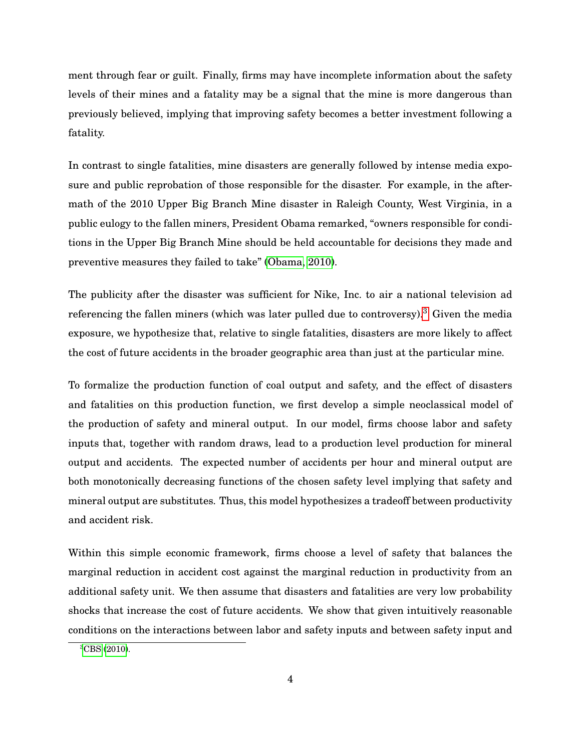ment through fear or guilt. Finally, firms may have incomplete information about the safety levels of their mines and a fatality may be a signal that the mine is more dangerous than previously believed, implying that improving safety becomes a better investment following a fatality.

In contrast to single fatalities, mine disasters are generally followed by intense media exposure and public reprobation of those responsible for the disaster. For example, in the aftermath of the 2010 Upper Big Branch Mine disaster in Raleigh County, West Virginia, in a public eulogy to the fallen miners, President Obama remarked, "owners responsible for conditions in the Upper Big Branch Mine should be held accountable for decisions they made and preventive measures they failed to take" [\(Obama, 2010\)](#page-42-0).

The publicity after the disaster was sufficient for Nike, Inc. to air a national television ad referencing the fallen miners (which was later pulled due to controversy). $3$  Given the media exposure, we hypothesize that, relative to single fatalities, disasters are more likely to affect the cost of future accidents in the broader geographic area than just at the particular mine.

To formalize the production function of coal output and safety, and the effect of disasters and fatalities on this production function, we first develop a simple neoclassical model of the production of safety and mineral output. In our model, firms choose labor and safety inputs that, together with random draws, lead to a production level production for mineral output and accidents. The expected number of accidents per hour and mineral output are both monotonically decreasing functions of the chosen safety level implying that safety and mineral output are substitutes. Thus, this model hypothesizes a tradeoff between productivity and accident risk.

Within this simple economic framework, firms choose a level of safety that balances the marginal reduction in accident cost against the marginal reduction in productivity from an additional safety unit. We then assume that disasters and fatalities are very low probability shocks that increase the cost of future accidents. We show that given intuitively reasonable conditions on the interactions between labor and safety inputs and between safety input and

<span id="page-3-0"></span><sup>3</sup>[CBS](#page-41-2) [\(2010\)](#page-41-2).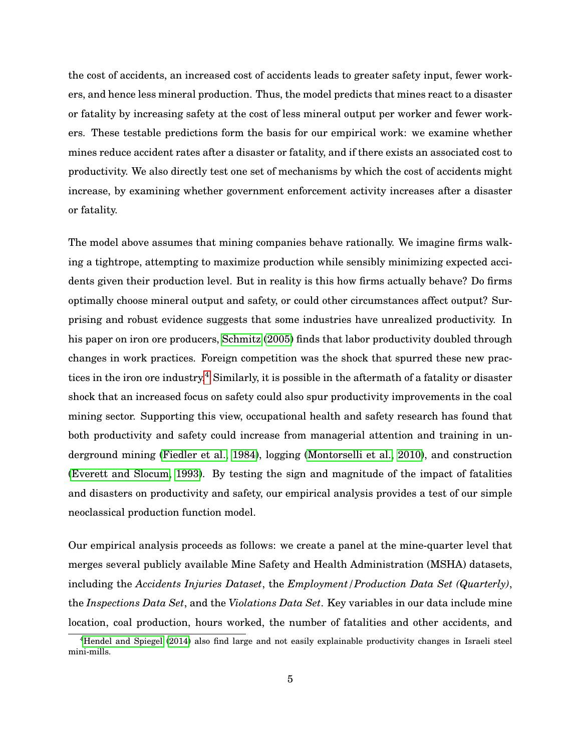the cost of accidents, an increased cost of accidents leads to greater safety input, fewer workers, and hence less mineral production. Thus, the model predicts that mines react to a disaster or fatality by increasing safety at the cost of less mineral output per worker and fewer workers. These testable predictions form the basis for our empirical work: we examine whether mines reduce accident rates after a disaster or fatality, and if there exists an associated cost to productivity. We also directly test one set of mechanisms by which the cost of accidents might increase, by examining whether government enforcement activity increases after a disaster or fatality.

The model above assumes that mining companies behave rationally. We imagine firms walking a tightrope, attempting to maximize production while sensibly minimizing expected accidents given their production level. But in reality is this how firms actually behave? Do firms optimally choose mineral output and safety, or could other circumstances affect output? Surprising and robust evidence suggests that some industries have unrealized productivity. In his paper on iron ore producers, [Schmitz](#page-42-1) [\(2005\)](#page-42-1) finds that labor productivity doubled through changes in work practices. Foreign competition was the shock that spurred these new prac-tices in the iron ore industry.<sup>[4](#page-4-0)</sup> Similarly, it is possible in the aftermath of a fatality or disaster shock that an increased focus on safety could also spur productivity improvements in the coal mining sector. Supporting this view, occupational health and safety research has found that both productivity and safety could increase from managerial attention and training in underground mining [\(Fiedler et al., 1984\)](#page-41-3), logging [\(Montorselli et al., 2010\)](#page-42-2), and construction [\(Everett and Slocum, 1993\)](#page-41-4). By testing the sign and magnitude of the impact of fatalities and disasters on productivity and safety, our empirical analysis provides a test of our simple neoclassical production function model.

Our empirical analysis proceeds as follows: we create a panel at the mine-quarter level that merges several publicly available Mine Safety and Health Administration (MSHA) datasets, including the *Accidents Injuries Dataset*, the *Employment/Production Data Set (Quarterly)*, the *Inspections Data Set*, and the *Violations Data Set*. Key variables in our data include mine location, coal production, hours worked, the number of fatalities and other accidents, and

<span id="page-4-0"></span><sup>&</sup>lt;sup>4</sup>[Hendel and Spiegel](#page-41-5) [\(2014\)](#page-41-5) also find large and not easily explainable productivity changes in Israeli steel mini-mills.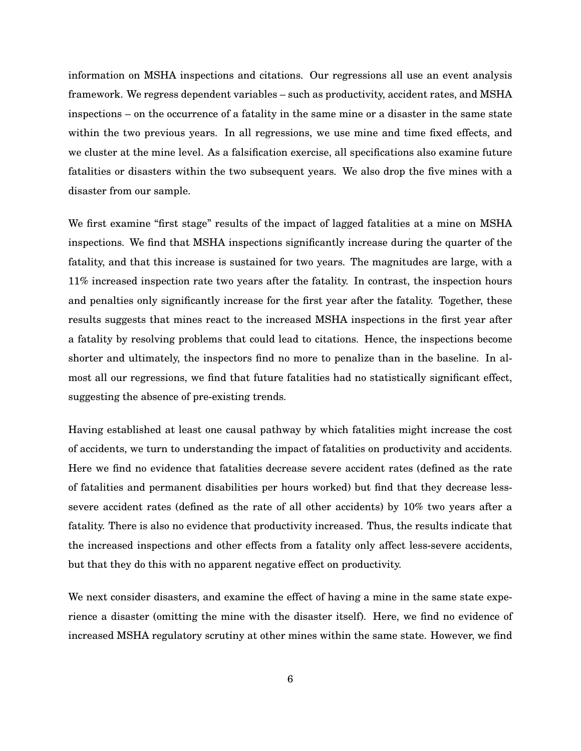information on MSHA inspections and citations. Our regressions all use an event analysis framework. We regress dependent variables – such as productivity, accident rates, and MSHA inspections – on the occurrence of a fatality in the same mine or a disaster in the same state within the two previous years. In all regressions, we use mine and time fixed effects, and we cluster at the mine level. As a falsification exercise, all specifications also examine future fatalities or disasters within the two subsequent years. We also drop the five mines with a disaster from our sample.

We first examine "first stage" results of the impact of lagged fatalities at a mine on MSHA inspections. We find that MSHA inspections significantly increase during the quarter of the fatality, and that this increase is sustained for two years. The magnitudes are large, with a 11% increased inspection rate two years after the fatality. In contrast, the inspection hours and penalties only significantly increase for the first year after the fatality. Together, these results suggests that mines react to the increased MSHA inspections in the first year after a fatality by resolving problems that could lead to citations. Hence, the inspections become shorter and ultimately, the inspectors find no more to penalize than in the baseline. In almost all our regressions, we find that future fatalities had no statistically significant effect, suggesting the absence of pre-existing trends.

Having established at least one causal pathway by which fatalities might increase the cost of accidents, we turn to understanding the impact of fatalities on productivity and accidents. Here we find no evidence that fatalities decrease severe accident rates (defined as the rate of fatalities and permanent disabilities per hours worked) but find that they decrease lesssevere accident rates (defined as the rate of all other accidents) by 10% two years after a fatality. There is also no evidence that productivity increased. Thus, the results indicate that the increased inspections and other effects from a fatality only affect less-severe accidents, but that they do this with no apparent negative effect on productivity.

We next consider disasters, and examine the effect of having a mine in the same state experience a disaster (omitting the mine with the disaster itself). Here, we find no evidence of increased MSHA regulatory scrutiny at other mines within the same state. However, we find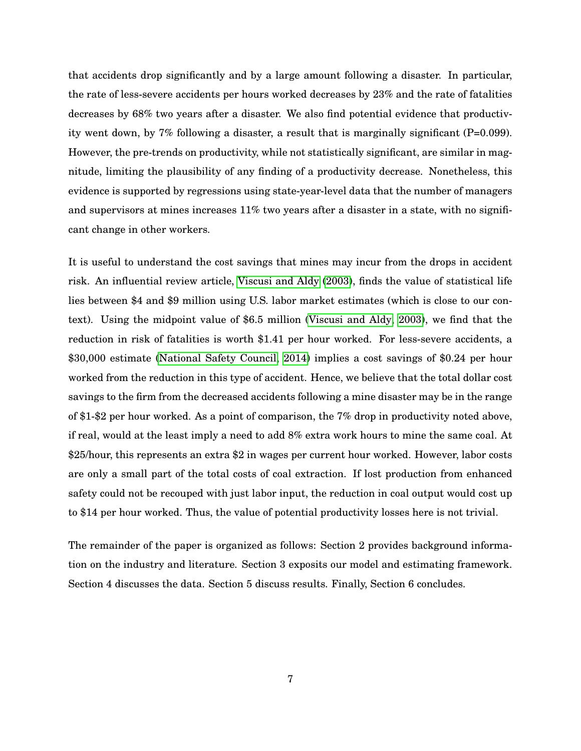that accidents drop significantly and by a large amount following a disaster. In particular, the rate of less-severe accidents per hours worked decreases by 23% and the rate of fatalities decreases by 68% two years after a disaster. We also find potential evidence that productivity went down, by 7% following a disaster, a result that is marginally significant (P=0.099). However, the pre-trends on productivity, while not statistically significant, are similar in magnitude, limiting the plausibility of any finding of a productivity decrease. Nonetheless, this evidence is supported by regressions using state-year-level data that the number of managers and supervisors at mines increases  $11\%$  two years after a disaster in a state, with no significant change in other workers.

It is useful to understand the cost savings that mines may incur from the drops in accident risk. An influential review article, [Viscusi and Aldy](#page-43-0) [\(2003\)](#page-43-0), finds the value of statistical life lies between \$4 and \$9 million using U.S. labor market estimates (which is close to our context). Using the midpoint value of \$6.5 million [\(Viscusi and Aldy, 2003\)](#page-43-0), we find that the reduction in risk of fatalities is worth \$1.41 per hour worked. For less-severe accidents, a \$30,000 estimate [\(National Safety Council, 2014\)](#page-42-3) implies a cost savings of \$0.24 per hour worked from the reduction in this type of accident. Hence, we believe that the total dollar cost savings to the firm from the decreased accidents following a mine disaster may be in the range of \$1-\$2 per hour worked. As a point of comparison, the 7% drop in productivity noted above, if real, would at the least imply a need to add 8% extra work hours to mine the same coal. At \$25/hour, this represents an extra \$2 in wages per current hour worked. However, labor costs are only a small part of the total costs of coal extraction. If lost production from enhanced safety could not be recouped with just labor input, the reduction in coal output would cost up to \$14 per hour worked. Thus, the value of potential productivity losses here is not trivial.

The remainder of the paper is organized as follows: Section 2 provides background information on the industry and literature. Section 3 exposits our model and estimating framework. Section 4 discusses the data. Section 5 discuss results. Finally, Section 6 concludes.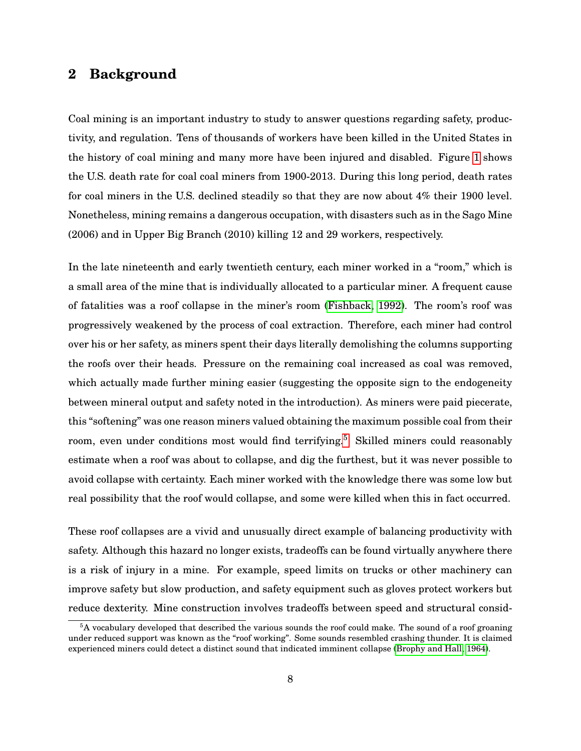# **2 Background**

Coal mining is an important industry to study to answer questions regarding safety, productivity, and regulation. Tens of thousands of workers have been killed in the United States in the history of coal mining and many more have been injured and disabled. Figure [1](#page-9-0) shows the U.S. death rate for coal coal miners from 1900-2013. During this long period, death rates for coal miners in the U.S. declined steadily so that they are now about 4% their 1900 level. Nonetheless, mining remains a dangerous occupation, with disasters such as in the Sago Mine (2006) and in Upper Big Branch (2010) killing 12 and 29 workers, respectively.

In the late nineteenth and early twentieth century, each miner worked in a "room," which is a small area of the mine that is individually allocated to a particular miner. A frequent cause of fatalities was a roof collapse in the miner's room [\(Fishback, 1992\)](#page-41-6). The room's roof was progressively weakened by the process of coal extraction. Therefore, each miner had control over his or her safety, as miners spent their days literally demolishing the columns supporting the roofs over their heads. Pressure on the remaining coal increased as coal was removed, which actually made further mining easier (suggesting the opposite sign to the endogeneity between mineral output and safety noted in the introduction). As miners were paid piecerate, this "softening" was one reason miners valued obtaining the maximum possible coal from their room, even under conditions most would find terrifying.<sup>[5](#page-7-0)</sup> Skilled miners could reasonably estimate when a roof was about to collapse, and dig the furthest, but it was never possible to avoid collapse with certainty. Each miner worked with the knowledge there was some low but real possibility that the roof would collapse, and some were killed when this in fact occurred.

These roof collapses are a vivid and unusually direct example of balancing productivity with safety. Although this hazard no longer exists, tradeoffs can be found virtually anywhere there is a risk of injury in a mine. For example, speed limits on trucks or other machinery can improve safety but slow production, and safety equipment such as gloves protect workers but reduce dexterity. Mine construction involves tradeoffs between speed and structural consid-

<span id="page-7-0"></span> $5A$  vocabulary developed that described the various sounds the roof could make. The sound of a roof groaning under reduced support was known as the "roof working". Some sounds resembled crashing thunder. It is claimed experienced miners could detect a distinct sound that indicated imminent collapse [\(Brophy and Hall, 1964\)](#page-41-7).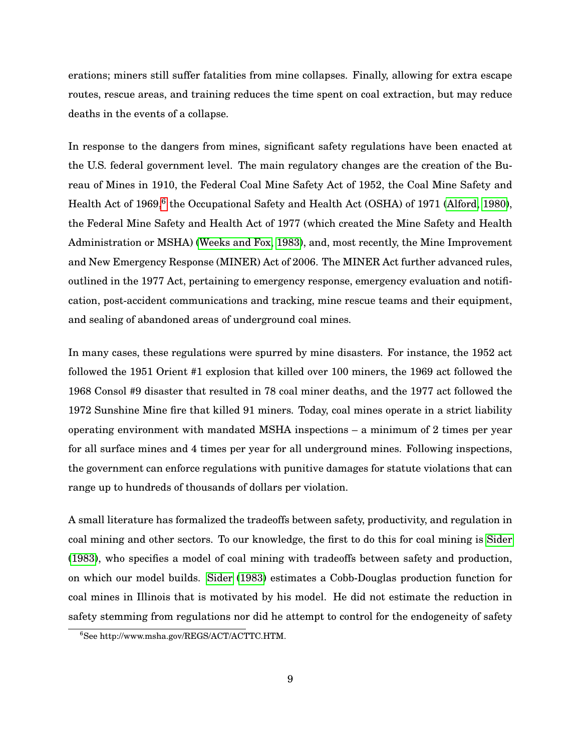erations; miners still suffer fatalities from mine collapses. Finally, allowing for extra escape routes, rescue areas, and training reduces the time spent on coal extraction, but may reduce deaths in the events of a collapse.

In response to the dangers from mines, significant safety regulations have been enacted at the U.S. federal government level. The main regulatory changes are the creation of the Bureau of Mines in 1910, the Federal Coal Mine Safety Act of 1952, the Coal Mine Safety and Health Act of 19[6](#page-8-0)9,<sup>6</sup> the Occupational Safety and Health Act (OSHA) of 1971 [\(Alford, 1980\)](#page-41-0), the Federal Mine Safety and Health Act of 1977 (which created the Mine Safety and Health Administration or MSHA) [\(Weeks and Fox, 1983\)](#page-43-1), and, most recently, the Mine Improvement and New Emergency Response (MINER) Act of 2006. The MINER Act further advanced rules, outlined in the 1977 Act, pertaining to emergency response, emergency evaluation and notification, post-accident communications and tracking, mine rescue teams and their equipment, and sealing of abandoned areas of underground coal mines.

In many cases, these regulations were spurred by mine disasters. For instance, the 1952 act followed the 1951 Orient #1 explosion that killed over 100 miners, the 1969 act followed the 1968 Consol #9 disaster that resulted in 78 coal miner deaths, and the 1977 act followed the 1972 Sunshine Mine fire that killed 91 miners. Today, coal mines operate in a strict liability operating environment with mandated MSHA inspections – a minimum of 2 times per year for all surface mines and 4 times per year for all underground mines. Following inspections, the government can enforce regulations with punitive damages for statute violations that can range up to hundreds of thousands of dollars per violation.

A small literature has formalized the tradeoffs between safety, productivity, and regulation in coal mining and other sectors. To our knowledge, the first to do this for coal mining is [Sider](#page-42-4) [\(1983\)](#page-42-4), who specifies a model of coal mining with tradeoffs between safety and production, on which our model builds. [Sider](#page-42-4) [\(1983\)](#page-42-4) estimates a Cobb-Douglas production function for coal mines in Illinois that is motivated by his model. He did not estimate the reduction in safety stemming from regulations nor did he attempt to control for the endogeneity of safety

<span id="page-8-0"></span><sup>6</sup>See http://www.msha.gov/REGS/ACT/ACTTC.HTM.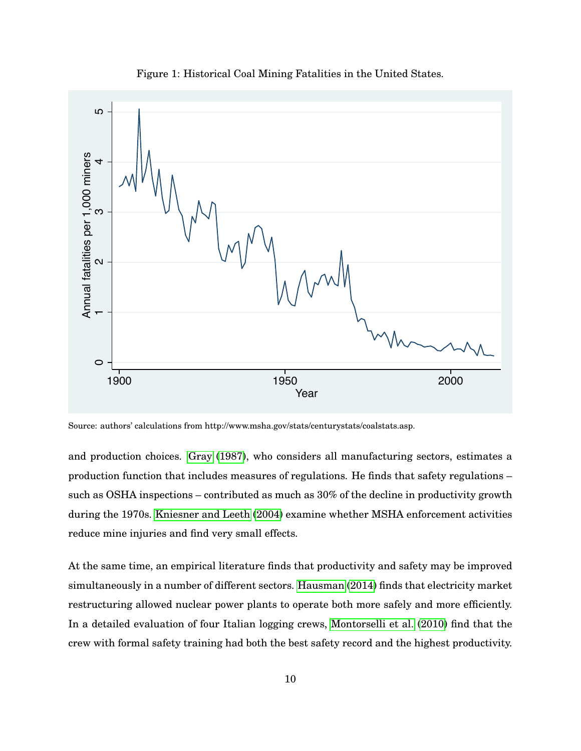<span id="page-9-0"></span>

Figure 1: Historical Coal Mining Fatalities in the United States.

Source: authors' calculations from http://www.msha.gov/stats/centurystats/coalstats.asp.

and production choices. [Gray](#page-41-8) [\(1987\)](#page-41-8), who considers all manufacturing sectors, estimates a production function that includes measures of regulations. He finds that safety regulations – such as OSHA inspections – contributed as much as 30% of the decline in productivity growth during the 1970s. [Kniesner and Leeth](#page-42-5) [\(2004\)](#page-42-5) examine whether MSHA enforcement activities reduce mine injuries and find very small effects.

At the same time, an empirical literature finds that productivity and safety may be improved simultaneously in a number of different sectors. [Hausman](#page-41-9) [\(2014\)](#page-41-9) finds that electricity market restructuring allowed nuclear power plants to operate both more safely and more efficiently. In a detailed evaluation of four Italian logging crews, [Montorselli et al.](#page-42-2) [\(2010\)](#page-42-2) find that the crew with formal safety training had both the best safety record and the highest productivity.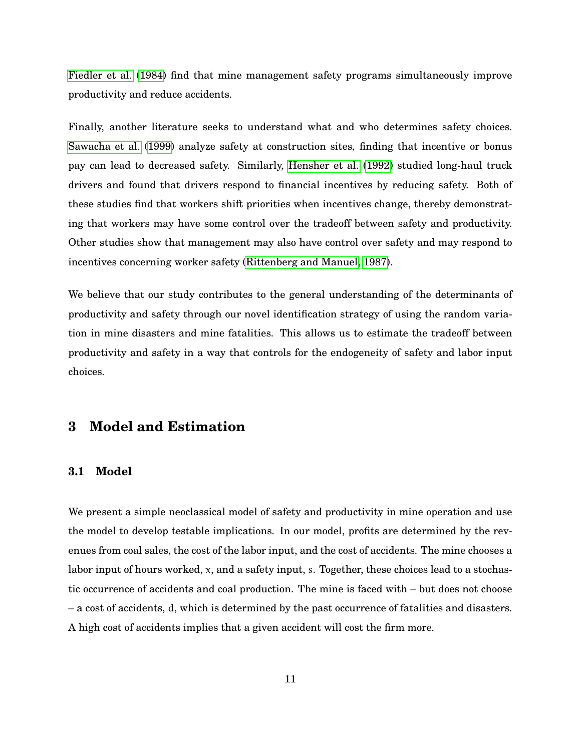[Fiedler et al.](#page-41-3) [\(1984\)](#page-41-3) find that mine management safety programs simultaneously improve productivity and reduce accidents.

Finally, another literature seeks to understand what and who determines safety choices. [Sawacha et al.](#page-42-6) [\(1999\)](#page-42-6) analyze safety at construction sites, finding that incentive or bonus pay can lead to decreased safety. Similarly, [Hensher et al.](#page-42-7) [\(1992\)](#page-42-7) studied long-haul truck drivers and found that drivers respond to financial incentives by reducing safety. Both of these studies find that workers shift priorities when incentives change, thereby demonstrating that workers may have some control over the tradeoff between safety and productivity. Other studies show that management may also have control over safety and may respond to incentives concerning worker safety [\(Rittenberg and Manuel, 1987\)](#page-42-8).

We believe that our study contributes to the general understanding of the determinants of productivity and safety through our novel identification strategy of using the random variation in mine disasters and mine fatalities. This allows us to estimate the tradeoff between productivity and safety in a way that controls for the endogeneity of safety and labor input choices.

## **3 Model and Estimation**

## **3.1 Model**

We present a simple neoclassical model of safety and productivity in mine operation and use the model to develop testable implications. In our model, profits are determined by the revenues from coal sales, the cost of the labor input, and the cost of accidents. The mine chooses a labor input of hours worked,  $x$ , and a safety input, s. Together, these choices lead to a stochastic occurrence of accidents and coal production. The mine is faced with – but does not choose – a cost of accidents, d, which is determined by the past occurrence of fatalities and disasters. A high cost of accidents implies that a given accident will cost the firm more.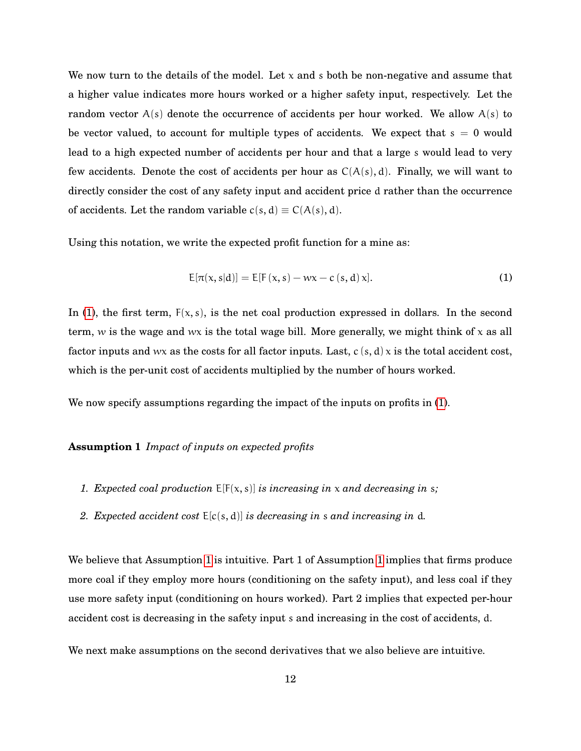We now turn to the details of the model. Let  $x$  and s both be non-negative and assume that a higher value indicates more hours worked or a higher safety input, respectively. Let the random vector  $A(s)$  denote the occurrence of accidents per hour worked. We allow  $A(s)$  to be vector valued, to account for multiple types of accidents. We expect that  $s = 0$  would lead to a high expected number of accidents per hour and that a large s would lead to very few accidents. Denote the cost of accidents per hour as  $C(A(s), d)$ . Finally, we will want to directly consider the cost of any safety input and accident price d rather than the occurrence of accidents. Let the random variable  $c(s, d) \equiv C(A(s), d)$ .

Using this notation, we write the expected profit function for a mine as:

<span id="page-11-0"></span>
$$
E[\pi(x, s|d)] = E[F(x, s) - wx - c(s, d)x].
$$
\n(1)

In [\(1\)](#page-11-0), the first term,  $F(x, s)$ , is the net coal production expressed in dollars. In the second term, w is the wage and wx is the total wage bill. More generally, we might think of  $x$  as all factor inputs and wx as the costs for all factor inputs. Last,  $c(s, d)$  x is the total accident cost, which is the per-unit cost of accidents multiplied by the number of hours worked.

<span id="page-11-1"></span>We now specify assumptions regarding the impact of the inputs on profits in [\(1\)](#page-11-0).

### **Assumption 1** *Impact of inputs on expected profits*

- 1. Expected coal production  $E[F(x, s)]$  is increasing in x and decreasing in s;
- *2. Expected accident cost* E[c(s, d)] *is decreasing in* s *and increasing in* d*.*

We believe that Assumption [1](#page-11-1) is intuitive. Part 1 of Assumption 1 implies that firms produce more coal if they employ more hours (conditioning on the safety input), and less coal if they use more safety input (conditioning on hours worked). Part 2 implies that expected per-hour accident cost is decreasing in the safety input s and increasing in the cost of accidents, d.

<span id="page-11-2"></span>We next make assumptions on the second derivatives that we also believe are intuitive.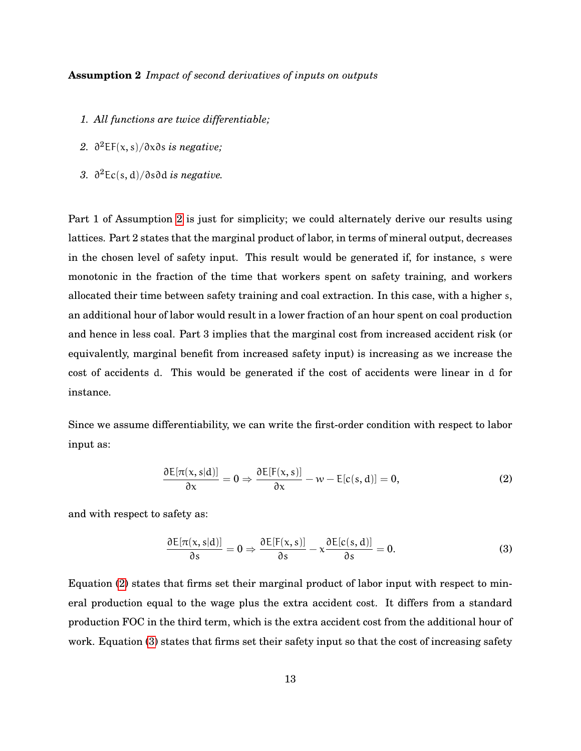### **Assumption 2** *Impact of second derivatives of inputs on outputs*

- *1. All functions are twice differentiable;*
- *2.* ∂ <sup>2</sup>EF(x, s)/∂x∂s *is negative;*
- *3.* ∂ <sup>2</sup>Ec(s, d)/∂s∂d *is negative.*

Part 1 of Assumption [2](#page-11-2) is just for simplicity; we could alternately derive our results using lattices. Part 2 states that the marginal product of labor, in terms of mineral output, decreases in the chosen level of safety input. This result would be generated if, for instance, s were monotonic in the fraction of the time that workers spent on safety training, and workers allocated their time between safety training and coal extraction. In this case, with a higher s, an additional hour of labor would result in a lower fraction of an hour spent on coal production and hence in less coal. Part 3 implies that the marginal cost from increased accident risk (or equivalently, marginal benefit from increased safety input) is increasing as we increase the cost of accidents d. This would be generated if the cost of accidents were linear in d for instance.

Since we assume differentiability, we can write the first-order condition with respect to labor input as:

<span id="page-12-0"></span>
$$
\frac{\partial E[\pi(x,s|d)]}{\partial x} = 0 \Rightarrow \frac{\partial E[F(x,s)]}{\partial x} - w - E[c(s,d)] = 0,
$$
\n(2)

and with respect to safety as:

<span id="page-12-1"></span>
$$
\frac{\partial E[\pi(x,s|d)]}{\partial s} = 0 \Rightarrow \frac{\partial E[F(x,s)]}{\partial s} - x \frac{\partial E[c(s,d)]}{\partial s} = 0.
$$
 (3)

Equation [\(2\)](#page-12-0) states that firms set their marginal product of labor input with respect to mineral production equal to the wage plus the extra accident cost. It differs from a standard production FOC in the third term, which is the extra accident cost from the additional hour of work. Equation [\(3\)](#page-12-1) states that firms set their safety input so that the cost of increasing safety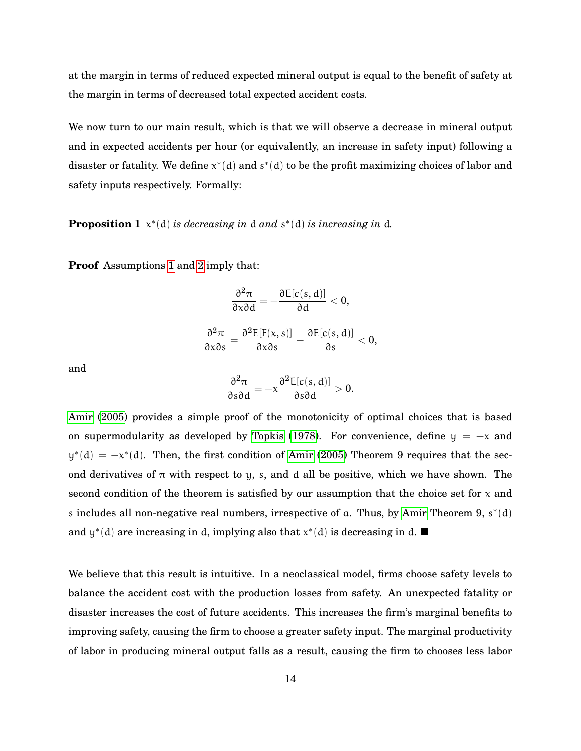at the margin in terms of reduced expected mineral output is equal to the benefit of safety at the margin in terms of decreased total expected accident costs.

We now turn to our main result, which is that we will observe a decrease in mineral output and in expected accidents per hour (or equivalently, an increase in safety input) following a disaster or fatality. We define  $x^*(d)$  and  $s^*(d)$  to be the profit maximizing choices of labor and safety inputs respectively. Formally:

**Proposition 1**  $x^*(d)$  *is decreasing in* d *and*  $s^*(d)$  *is increasing in* d.

**Proof** Assumptions [1](#page-11-1) and [2](#page-11-2) imply that:

$$
\begin{aligned}\n\frac{\partial^2 \pi}{\partial x \partial d} &= -\frac{\partial \mathsf{E}[\mathsf{c}(s, d)]}{\partial d} < 0, \\
\frac{\partial^2 \pi}{\partial x \partial s} &= \frac{\partial^2 \mathsf{E}[\mathsf{F}(x, s)]}{\partial x \partial s} - \frac{\partial \mathsf{E}[\mathsf{c}(s, d)]}{\partial s} < 0,\n\end{aligned}
$$

and

$$
\frac{\partial^2 \pi}{\partial s \partial d} = -x \frac{\partial^2 \mathsf{E}[c(s, d)]}{\partial s \partial d} > 0.
$$

[Amir](#page-41-10) [\(2005\)](#page-41-10) provides a simple proof of the monotonicity of optimal choices that is based on supermodularity as developed by [Topkis](#page-42-9) [\(1978\)](#page-42-9). For convenience, define  $y = -x$  and  $y^*(d) = -x^*(d)$ . Then, the first condition of [Amir](#page-41-10) [\(2005\)](#page-41-10) Theorem 9 requires that the second derivatives of  $\pi$  with respect to y, s, and d all be positive, which we have shown. The second condition of the theorem is satisfied by our assumption that the choice set for  $x$  and s includes all non-negative real numbers, irrespective of a. Thus, by [Amir](#page-41-10) Theorem 9,  $s^*(d)$ and  $y^*(d)$  are increasing in d, implying also that  $x^*(d)$  is decreasing in d.

We believe that this result is intuitive. In a neoclassical model, firms choose safety levels to balance the accident cost with the production losses from safety. An unexpected fatality or disaster increases the cost of future accidents. This increases the firm's marginal benefits to improving safety, causing the firm to choose a greater safety input. The marginal productivity of labor in producing mineral output falls as a result, causing the firm to chooses less labor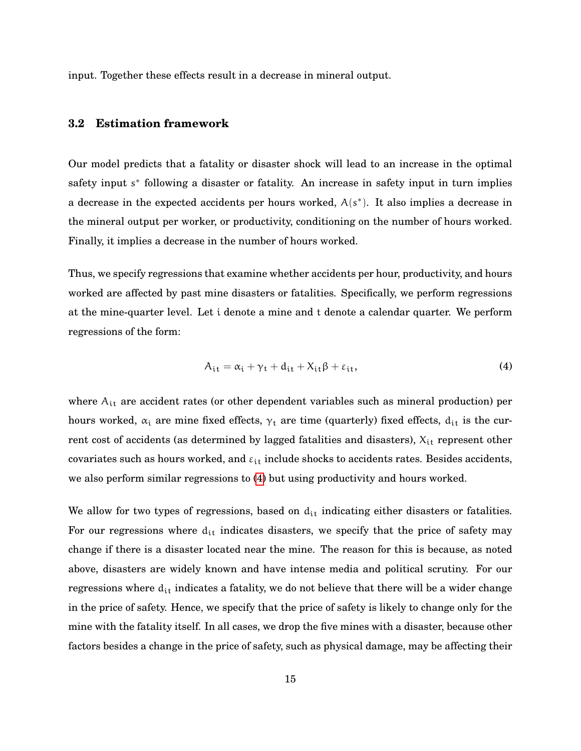input. Together these effects result in a decrease in mineral output.

## **3.2 Estimation framework**

Our model predicts that a fatality or disaster shock will lead to an increase in the optimal safety input s<sup>\*</sup> following a disaster or fatality. An increase in safety input in turn implies a decrease in the expected accidents per hours worked,  $A(s^*)$ . It also implies a decrease in the mineral output per worker, or productivity, conditioning on the number of hours worked. Finally, it implies a decrease in the number of hours worked.

Thus, we specify regressions that examine whether accidents per hour, productivity, and hours worked are affected by past mine disasters or fatalities. Specifically, we perform regressions at the mine-quarter level. Let i denote a mine and t denote a calendar quarter. We perform regressions of the form:

<span id="page-14-0"></span>
$$
A_{it} = \alpha_i + \gamma_t + d_{it} + X_{it}\beta + \varepsilon_{it}, \qquad (4)
$$

where  $A_{it}$  are accident rates (or other dependent variables such as mineral production) per hours worked,  $\alpha_i$  are mine fixed effects,  $\gamma_t$  are time (quarterly) fixed effects,  $d_{it}$  is the current cost of accidents (as determined by lagged fatalities and disasters),  $X_{it}$  represent other covariates such as hours worked, and  $\varepsilon_{it}$  include shocks to accidents rates. Besides accidents, we also perform similar regressions to [\(4\)](#page-14-0) but using productivity and hours worked.

We allow for two types of regressions, based on  $d_{it}$  indicating either disasters or fatalities. For our regressions where  $d_{it}$  indicates disasters, we specify that the price of safety may change if there is a disaster located near the mine. The reason for this is because, as noted above, disasters are widely known and have intense media and political scrutiny. For our regressions where  $d_{it}$  indicates a fatality, we do not believe that there will be a wider change in the price of safety. Hence, we specify that the price of safety is likely to change only for the mine with the fatality itself. In all cases, we drop the five mines with a disaster, because other factors besides a change in the price of safety, such as physical damage, may be affecting their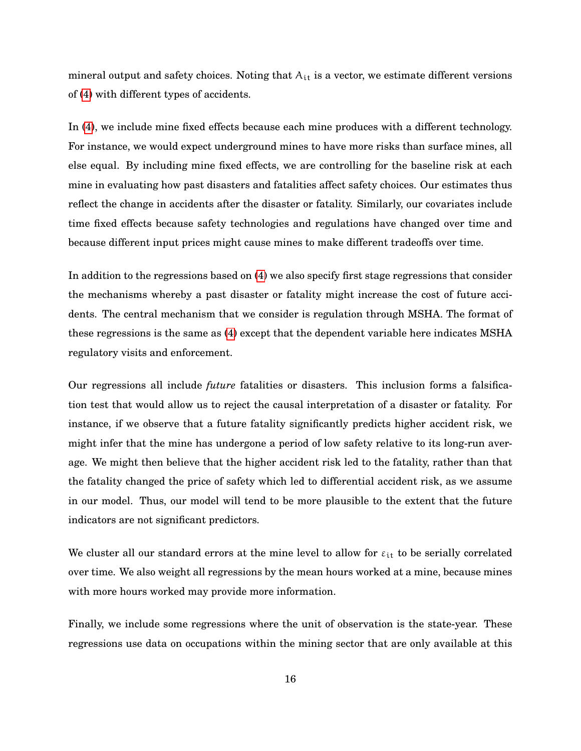mineral output and safety choices. Noting that  $A_{it}$  is a vector, we estimate different versions of [\(4\)](#page-14-0) with different types of accidents.

In [\(4\)](#page-14-0), we include mine fixed effects because each mine produces with a different technology. For instance, we would expect underground mines to have more risks than surface mines, all else equal. By including mine fixed effects, we are controlling for the baseline risk at each mine in evaluating how past disasters and fatalities affect safety choices. Our estimates thus reflect the change in accidents after the disaster or fatality. Similarly, our covariates include time fixed effects because safety technologies and regulations have changed over time and because different input prices might cause mines to make different tradeoffs over time.

In addition to the regressions based on [\(4\)](#page-14-0) we also specify first stage regressions that consider the mechanisms whereby a past disaster or fatality might increase the cost of future accidents. The central mechanism that we consider is regulation through MSHA. The format of these regressions is the same as [\(4\)](#page-14-0) except that the dependent variable here indicates MSHA regulatory visits and enforcement.

Our regressions all include *future* fatalities or disasters. This inclusion forms a falsification test that would allow us to reject the causal interpretation of a disaster or fatality. For instance, if we observe that a future fatality significantly predicts higher accident risk, we might infer that the mine has undergone a period of low safety relative to its long-run average. We might then believe that the higher accident risk led to the fatality, rather than that the fatality changed the price of safety which led to differential accident risk, as we assume in our model. Thus, our model will tend to be more plausible to the extent that the future indicators are not significant predictors.

We cluster all our standard errors at the mine level to allow for  $\varepsilon_{it}$  to be serially correlated over time. We also weight all regressions by the mean hours worked at a mine, because mines with more hours worked may provide more information.

Finally, we include some regressions where the unit of observation is the state-year. These regressions use data on occupations within the mining sector that are only available at this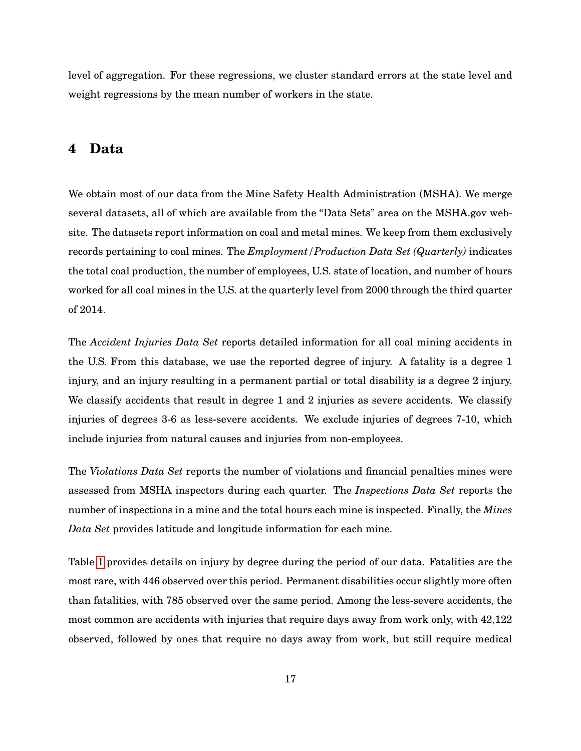level of aggregation. For these regressions, we cluster standard errors at the state level and weight regressions by the mean number of workers in the state.

## **4 Data**

We obtain most of our data from the Mine Safety Health Administration (MSHA). We merge several datasets, all of which are available from the "Data Sets" area on the MSHA.gov website. The datasets report information on coal and metal mines. We keep from them exclusively records pertaining to coal mines. The *Employment/Production Data Set (Quarterly)* indicates the total coal production, the number of employees, U.S. state of location, and number of hours worked for all coal mines in the U.S. at the quarterly level from 2000 through the third quarter of 2014.

The *Accident Injuries Data Set* reports detailed information for all coal mining accidents in the U.S. From this database, we use the reported degree of injury. A fatality is a degree 1 injury, and an injury resulting in a permanent partial or total disability is a degree 2 injury. We classify accidents that result in degree 1 and 2 injuries as severe accidents. We classify injuries of degrees 3-6 as less-severe accidents. We exclude injuries of degrees 7-10, which include injuries from natural causes and injuries from non-employees.

The *Violations Data Set* reports the number of violations and financial penalties mines were assessed from MSHA inspectors during each quarter. The *Inspections Data Set* reports the number of inspections in a mine and the total hours each mine is inspected. Finally, the *Mines Data Set* provides latitude and longitude information for each mine.

Table [1](#page-17-0) provides details on injury by degree during the period of our data. Fatalities are the most rare, with 446 observed over this period. Permanent disabilities occur slightly more often than fatalities, with 785 observed over the same period. Among the less-severe accidents, the most common are accidents with injuries that require days away from work only, with 42,122 observed, followed by ones that require no days away from work, but still require medical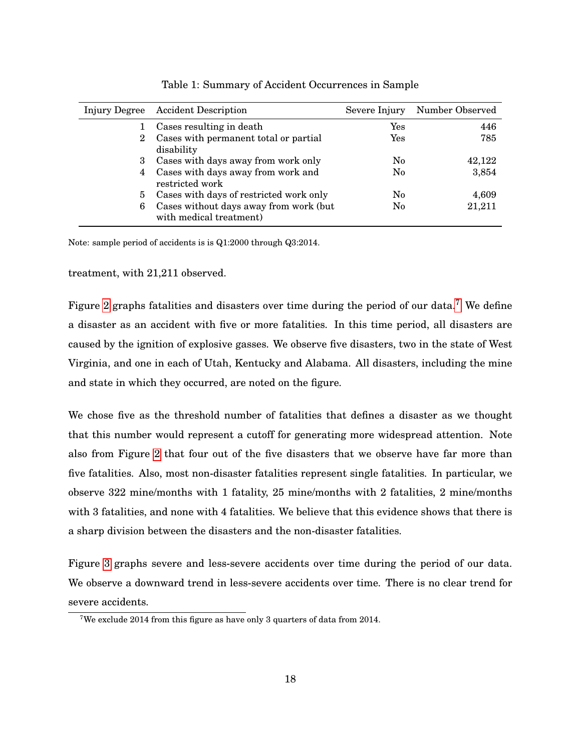<span id="page-17-0"></span>

|                | Injury Degree Accident Description                                |          | Severe Injury Number Observed |
|----------------|-------------------------------------------------------------------|----------|-------------------------------|
|                | Cases resulting in death                                          | Yes      | 446                           |
| $\mathbf{2}^-$ | Cases with permanent total or partial<br>disability               | Yes      | 785                           |
| 3.             | Cases with days away from work only                               | $\rm No$ | 42,122                        |
| 4              | Cases with days away from work and<br>restricted work             | $\rm No$ | 3,854                         |
| 5.             | Cases with days of restricted work only                           | $\rm No$ | 4,609                         |
| 6              | Cases without days away from work (but<br>with medical treatment) | $\rm No$ | 21,211                        |

Table 1: Summary of Accident Occurrences in Sample

Note: sample period of accidents is is Q1:2000 through Q3:2014.

treatment, with 21,211 observed.

Figure [2](#page-18-0) graphs fatalities and disasters over time during the period of our data.[7](#page-17-1) We define a disaster as an accident with five or more fatalities. In this time period, all disasters are caused by the ignition of explosive gasses. We observe five disasters, two in the state of West Virginia, and one in each of Utah, Kentucky and Alabama. All disasters, including the mine and state in which they occurred, are noted on the figure.

We chose five as the threshold number of fatalities that defines a disaster as we thought that this number would represent a cutoff for generating more widespread attention. Note also from Figure [2](#page-18-0) that four out of the five disasters that we observe have far more than five fatalities. Also, most non-disaster fatalities represent single fatalities. In particular, we observe 322 mine/months with 1 fatality, 25 mine/months with 2 fatalities, 2 mine/months with 3 fatalities, and none with 4 fatalities. We believe that this evidence shows that there is a sharp division between the disasters and the non-disaster fatalities.

Figure [3](#page-19-0) graphs severe and less-severe accidents over time during the period of our data. We observe a downward trend in less-severe accidents over time. There is no clear trend for severe accidents.

<span id="page-17-1"></span><sup>&</sup>lt;sup>7</sup>We exclude 2014 from this figure as have only 3 quarters of data from 2014.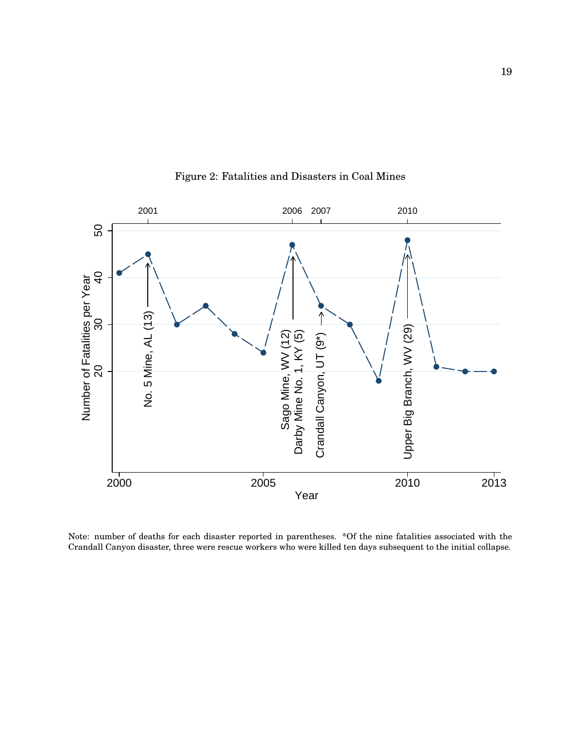<span id="page-18-0"></span>

Figure 2: Fatalities and Disasters in Coal Mines

Note: number of deaths for each disaster reported in parentheses. \*Of the nine fatalities associated with the Crandall Canyon disaster, three were rescue workers who were killed ten days subsequent to the initial collapse.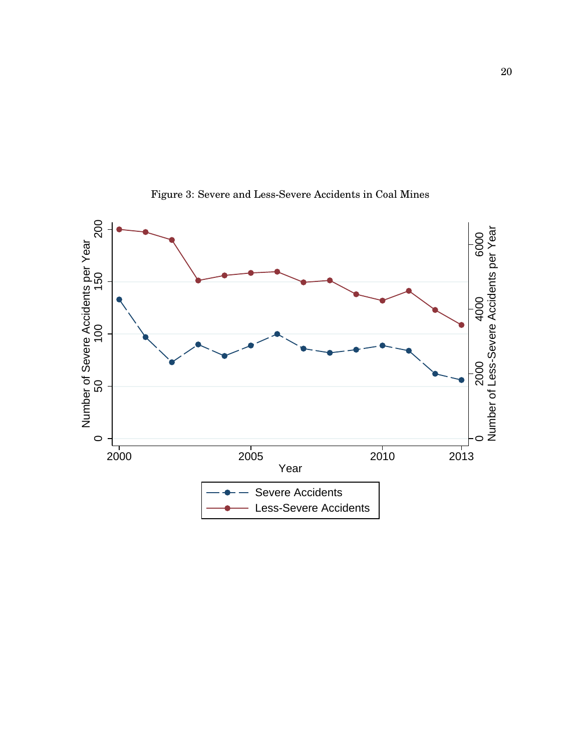<span id="page-19-0"></span>

Figure 3: Severe and Less-Severe Accidents in Coal Mines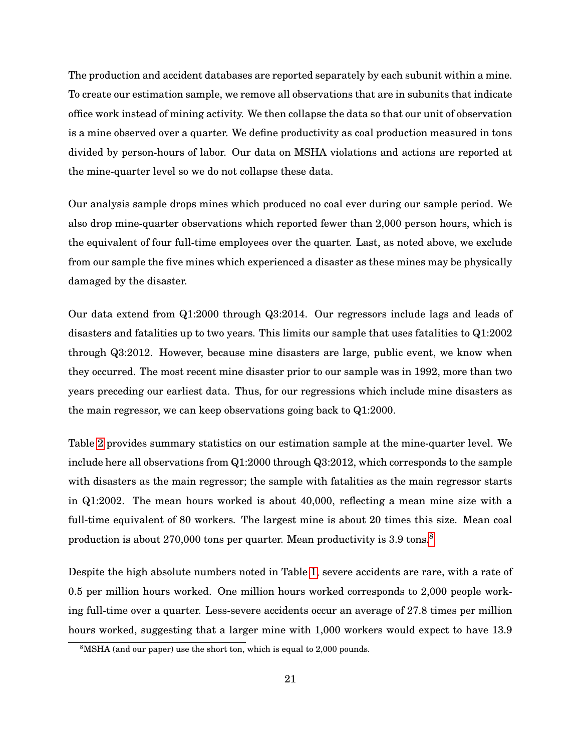The production and accident databases are reported separately by each subunit within a mine. To create our estimation sample, we remove all observations that are in subunits that indicate office work instead of mining activity. We then collapse the data so that our unit of observation is a mine observed over a quarter. We define productivity as coal production measured in tons divided by person-hours of labor. Our data on MSHA violations and actions are reported at the mine-quarter level so we do not collapse these data.

Our analysis sample drops mines which produced no coal ever during our sample period. We also drop mine-quarter observations which reported fewer than 2,000 person hours, which is the equivalent of four full-time employees over the quarter. Last, as noted above, we exclude from our sample the five mines which experienced a disaster as these mines may be physically damaged by the disaster.

Our data extend from Q1:2000 through Q3:2014. Our regressors include lags and leads of disasters and fatalities up to two years. This limits our sample that uses fatalities to Q1:2002 through Q3:2012. However, because mine disasters are large, public event, we know when they occurred. The most recent mine disaster prior to our sample was in 1992, more than two years preceding our earliest data. Thus, for our regressions which include mine disasters as the main regressor, we can keep observations going back to Q1:2000.

Table [2](#page-21-0) provides summary statistics on our estimation sample at the mine-quarter level. We include here all observations from Q1:2000 through Q3:2012, which corresponds to the sample with disasters as the main regressor; the sample with fatalities as the main regressor starts in Q1:2002. The mean hours worked is about 40,000, reflecting a mean mine size with a full-time equivalent of 80 workers. The largest mine is about 20 times this size. Mean coal production is about 270,000 tons per quarter. Mean productivity is 3.9 tons.[8](#page-20-0)

Despite the high absolute numbers noted in Table [1,](#page-17-0) severe accidents are rare, with a rate of 0.5 per million hours worked. One million hours worked corresponds to 2,000 people working full-time over a quarter. Less-severe accidents occur an average of 27.8 times per million hours worked, suggesting that a larger mine with 1,000 workers would expect to have 13.9

<span id="page-20-0"></span><sup>8</sup>MSHA (and our paper) use the short ton, which is equal to 2,000 pounds.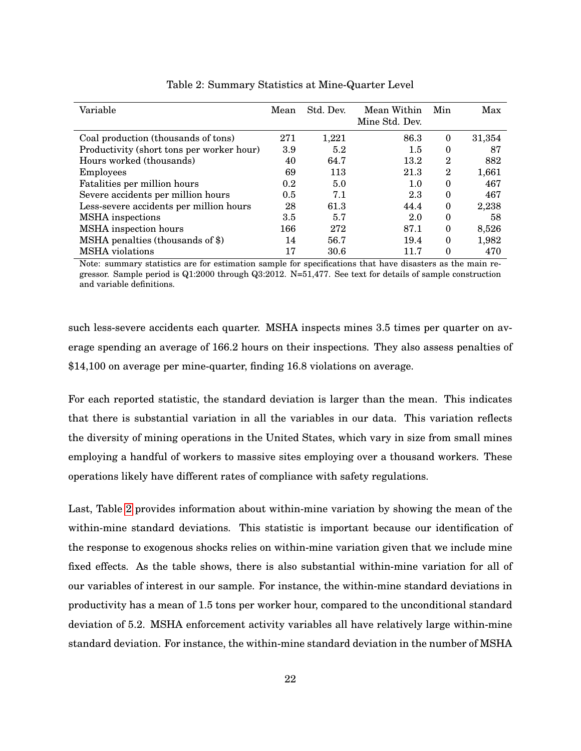<span id="page-21-0"></span>

| Variable                                  | Mean | Std. Dev. | Mean Within<br>Mine Std. Dev. | Min            | Max    |
|-------------------------------------------|------|-----------|-------------------------------|----------------|--------|
| Coal production (thousands of tons)       | 271  | 1,221     | 86.3                          | $\theta$       | 31,354 |
| Productivity (short tons per worker hour) | 3.9  | 5.2       | $1.5\,$                       | $\theta$       | 87     |
| Hours worked (thousands)                  | 40   | 64.7      | 13.2                          | $\overline{2}$ | 882    |
| Employees                                 | 69   | 113       | 21.3                          | $\mathbf{2}$   | 1,661  |
| Fatalities per million hours              | 0.2  | 5.0       | 1.0                           | $\theta$       | 467    |
| Severe accidents per million hours        | 0.5  | 7.1       | 2.3                           | $\Omega$       | 467    |
| Less-severe accidents per million hours   | 28   | 61.3      | 44.4                          | $\Omega$       | 2,238  |
| MSHA inspections                          | 3.5  | 5.7       | 2.0                           | $\Omega$       | 58     |
| MSHA inspection hours                     | 166  | 272       | 87.1                          | $\Omega$       | 8,526  |
| MSHA penalties (thousands of $\$$ )       | 14   | 56.7      | 19.4                          | $\theta$       | 1,982  |
| <b>MSHA</b> violations                    | 17   | 30.6      | 11.7                          | $\Omega$       | 470    |

Table 2: Summary Statistics at Mine-Quarter Level

Note: summary statistics are for estimation sample for specifications that have disasters as the main regressor. Sample period is Q1:2000 through Q3:2012. N=51,477. See text for details of sample construction and variable definitions.

such less-severe accidents each quarter. MSHA inspects mines 3.5 times per quarter on average spending an average of 166.2 hours on their inspections. They also assess penalties of \$14,100 on average per mine-quarter, finding 16.8 violations on average.

For each reported statistic, the standard deviation is larger than the mean. This indicates that there is substantial variation in all the variables in our data. This variation reflects the diversity of mining operations in the United States, which vary in size from small mines employing a handful of workers to massive sites employing over a thousand workers. These operations likely have different rates of compliance with safety regulations.

Last, Table [2](#page-21-0) provides information about within-mine variation by showing the mean of the within-mine standard deviations. This statistic is important because our identification of the response to exogenous shocks relies on within-mine variation given that we include mine fixed effects. As the table shows, there is also substantial within-mine variation for all of our variables of interest in our sample. For instance, the within-mine standard deviations in productivity has a mean of 1.5 tons per worker hour, compared to the unconditional standard deviation of 5.2. MSHA enforcement activity variables all have relatively large within-mine standard deviation. For instance, the within-mine standard deviation in the number of MSHA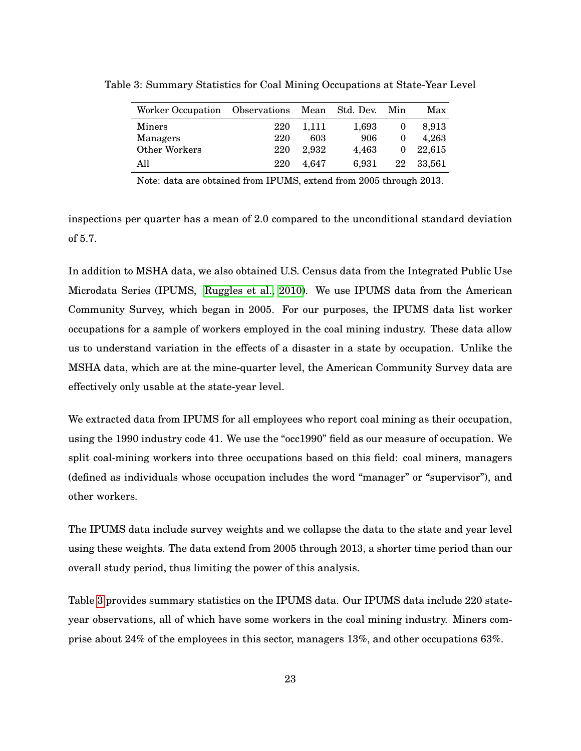| Worker Occupation Observations Mean |     |       | Std. Dev. | Min | Max    |
|-------------------------------------|-----|-------|-----------|-----|--------|
| <b>Miners</b>                       | 220 | 1.111 | 1,693     | 0   | 8.913  |
| Managers                            | 220 | 603   | 906       | 0   | 4.263  |
| Other Workers                       | 220 | 2.932 | 4.463     | 0   | 22,615 |
| All                                 | 220 | 4.647 | 6.931     | 22  | 33.561 |

<span id="page-22-0"></span>Table 3: Summary Statistics for Coal Mining Occupations at State-Year Level

Note: data are obtained from IPUMS, extend from 2005 through 2013.

inspections per quarter has a mean of 2.0 compared to the unconditional standard deviation of 5.7.

In addition to MSHA data, we also obtained U.S. Census data from the Integrated Public Use Microdata Series (IPUMS, [Ruggles et al., 2010\)](#page-42-10). We use IPUMS data from the American Community Survey, which began in 2005. For our purposes, the IPUMS data list worker occupations for a sample of workers employed in the coal mining industry. These data allow us to understand variation in the effects of a disaster in a state by occupation. Unlike the MSHA data, which are at the mine-quarter level, the American Community Survey data are effectively only usable at the state-year level.

We extracted data from IPUMS for all employees who report coal mining as their occupation, using the 1990 industry code 41. We use the "occ1990" field as our measure of occupation. We split coal-mining workers into three occupations based on this field: coal miners, managers (defined as individuals whose occupation includes the word "manager" or "supervisor"), and other workers.

The IPUMS data include survey weights and we collapse the data to the state and year level using these weights. The data extend from 2005 through 2013, a shorter time period than our overall study period, thus limiting the power of this analysis.

Table [3](#page-22-0) provides summary statistics on the IPUMS data. Our IPUMS data include 220 stateyear observations, all of which have some workers in the coal mining industry. Miners comprise about 24% of the employees in this sector, managers 13%, and other occupations 63%.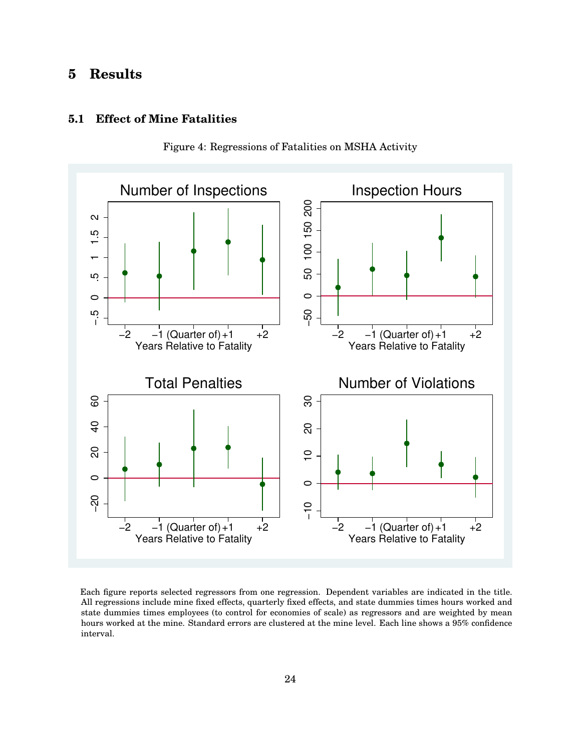# **5 Results**

## <span id="page-23-0"></span>**5.1 Effect of Mine Fatalities**



Figure 4: Regressions of Fatalities on MSHA Activity

Each figure reports selected regressors from one regression. Dependent variables are indicated in the title. All regressions include mine fixed effects, quarterly fixed effects, and state dummies times hours worked and state dummies times employees (to control for economies of scale) as regressors and are weighted by mean hours worked at the mine. Standard errors are clustered at the mine level. Each line shows a 95% confidence interval.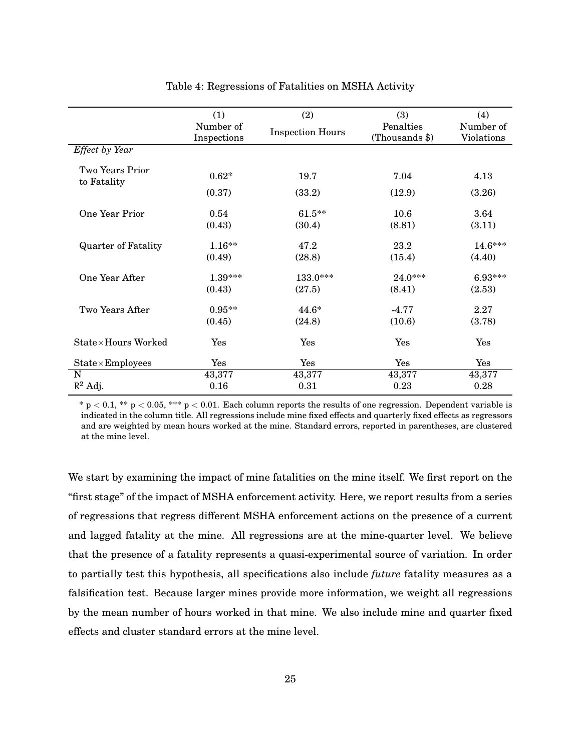<span id="page-24-0"></span>

|                                | (1)                      | (2)                     | (3)                         | (4)                     |
|--------------------------------|--------------------------|-------------------------|-----------------------------|-------------------------|
|                                | Number of<br>Inspections | <b>Inspection Hours</b> | Penalties<br>(Thousands \$) | Number of<br>Violations |
| Effect by Year                 |                          |                         |                             |                         |
| Two Years Prior<br>to Fatality | $0.62*$                  | 19.7                    | 7.04                        | 4.13                    |
|                                | (0.37)                   | (33.2)                  | (12.9)                      | (3.26)                  |
| One Year Prior                 | 0.54<br>(0.43)           | $61.5***$<br>(30.4)     | 10.6<br>(8.81)              | 3.64<br>(3.11)          |
| <b>Quarter of Fatality</b>     | $1.16**$<br>(0.49)       | 47.2<br>(28.8)          | 23.2<br>(15.4)              | 14.6***<br>(4.40)       |
| One Year After                 | 1.39***<br>(0.43)        | $133.0***$<br>(27.5)    | $24.0***$<br>(8.41)         | $6.93***$<br>(2.53)     |
| Two Years After                | $0.95**$<br>(0.45)       | $44.6*$<br>(24.8)       | $-4.77$<br>(10.6)           | 2.27<br>(3.78)          |
| State×Hours Worked             | Yes                      | Yes                     | Yes                         | Yes                     |
| $State \times Employes$        | Yes                      | Yes                     | Yes                         | Yes                     |
| N                              | 43,377                   | 43,377                  | 43,377                      | 43,377                  |
| $R^2$ Adj.                     | 0.16                     | 0.31                    | 0.23                        | 0.28                    |

#### Table 4: Regressions of Fatalities on MSHA Activity

 $* p < 0.1$ ,  $** p < 0.05$ ,  $** p < 0.01$ . Each column reports the results of one regression. Dependent variable is indicated in the column title. All regressions include mine fixed effects and quarterly fixed effects as regressors and are weighted by mean hours worked at the mine. Standard errors, reported in parentheses, are clustered at the mine level.

We start by examining the impact of mine fatalities on the mine itself. We first report on the "first stage" of the impact of MSHA enforcement activity. Here, we report results from a series of regressions that regress different MSHA enforcement actions on the presence of a current and lagged fatality at the mine. All regressions are at the mine-quarter level. We believe that the presence of a fatality represents a quasi-experimental source of variation. In order to partially test this hypothesis, all specifications also include *future* fatality measures as a falsification test. Because larger mines provide more information, we weight all regressions by the mean number of hours worked in that mine. We also include mine and quarter fixed effects and cluster standard errors at the mine level.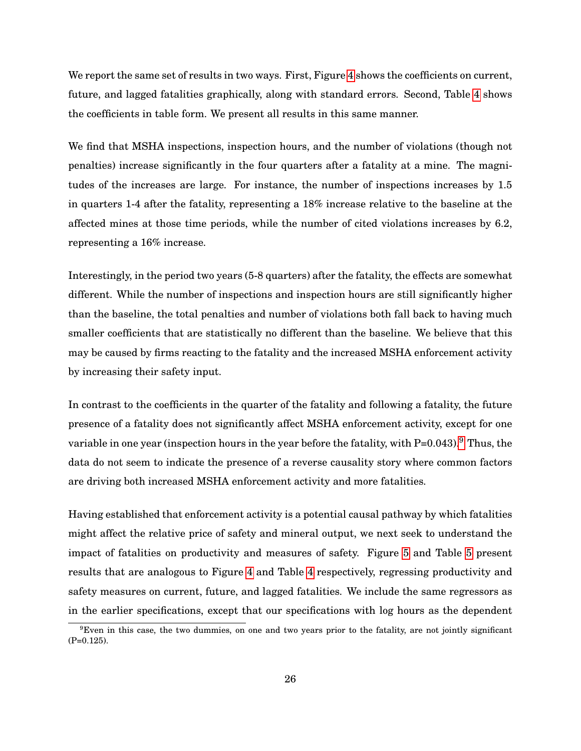We report the same set of results in two ways. First, Figure [4](#page-23-0) shows the coefficients on current, future, and lagged fatalities graphically, along with standard errors. Second, Table [4](#page-24-0) shows the coefficients in table form. We present all results in this same manner.

We find that MSHA inspections, inspection hours, and the number of violations (though not penalties) increase significantly in the four quarters after a fatality at a mine. The magnitudes of the increases are large. For instance, the number of inspections increases by 1.5 in quarters 1-4 after the fatality, representing a 18% increase relative to the baseline at the affected mines at those time periods, while the number of cited violations increases by 6.2, representing a 16% increase.

Interestingly, in the period two years (5-8 quarters) after the fatality, the effects are somewhat different. While the number of inspections and inspection hours are still significantly higher than the baseline, the total penalties and number of violations both fall back to having much smaller coefficients that are statistically no different than the baseline. We believe that this may be caused by firms reacting to the fatality and the increased MSHA enforcement activity by increasing their safety input.

In contrast to the coefficients in the quarter of the fatality and following a fatality, the future presence of a fatality does not significantly affect MSHA enforcement activity, except for one variable in one year (inspection hours in the year before the fatality, with  $P=0.043$ ).<sup>[9](#page-25-0)</sup> Thus, the data do not seem to indicate the presence of a reverse causality story where common factors are driving both increased MSHA enforcement activity and more fatalities.

Having established that enforcement activity is a potential causal pathway by which fatalities might affect the relative price of safety and mineral output, we next seek to understand the impact of fatalities on productivity and measures of safety. Figure [5](#page-26-0) and Table [5](#page-28-0) present results that are analogous to Figure [4](#page-23-0) and Table [4](#page-24-0) respectively, regressing productivity and safety measures on current, future, and lagged fatalities. We include the same regressors as in the earlier specifications, except that our specifications with log hours as the dependent

<span id="page-25-0"></span><sup>9</sup>Even in this case, the two dummies, on one and two years prior to the fatality, are not jointly significant (P=0.125).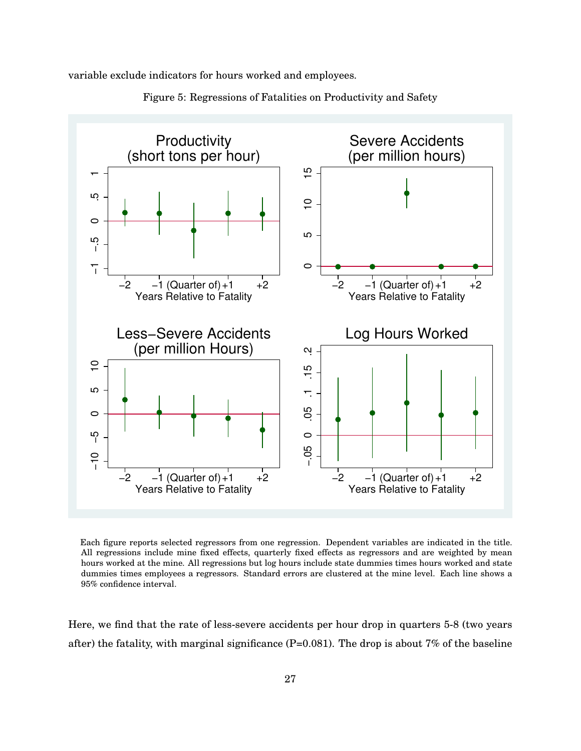<span id="page-26-0"></span>variable exclude indicators for hours worked and employees.



Figure 5: Regressions of Fatalities on Productivity and Safety

Each figure reports selected regressors from one regression. Dependent variables are indicated in the title. All regressions include mine fixed effects, quarterly fixed effects as regressors and are weighted by mean hours worked at the mine. All regressions but log hours include state dummies times hours worked and state dummies times employees a regressors. Standard errors are clustered at the mine level. Each line shows a 95% confidence interval.

Here, we find that the rate of less-severe accidents per hour drop in quarters 5-8 (two years after) the fatality, with marginal significance ( $P=0.081$ ). The drop is about 7% of the baseline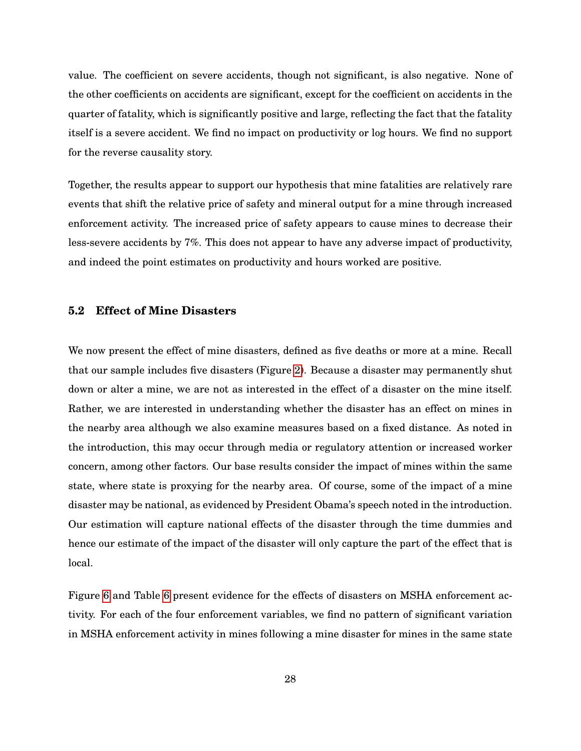value. The coefficient on severe accidents, though not significant, is also negative. None of the other coefficients on accidents are significant, except for the coefficient on accidents in the quarter of fatality, which is significantly positive and large, reflecting the fact that the fatality itself is a severe accident. We find no impact on productivity or log hours. We find no support for the reverse causality story.

Together, the results appear to support our hypothesis that mine fatalities are relatively rare events that shift the relative price of safety and mineral output for a mine through increased enforcement activity. The increased price of safety appears to cause mines to decrease their less-severe accidents by 7%. This does not appear to have any adverse impact of productivity, and indeed the point estimates on productivity and hours worked are positive.

## **5.2 Effect of Mine Disasters**

We now present the effect of mine disasters, defined as five deaths or more at a mine. Recall that our sample includes five disasters (Figure [2\)](#page-18-0). Because a disaster may permanently shut down or alter a mine, we are not as interested in the effect of a disaster on the mine itself. Rather, we are interested in understanding whether the disaster has an effect on mines in the nearby area although we also examine measures based on a fixed distance. As noted in the introduction, this may occur through media or regulatory attention or increased worker concern, among other factors. Our base results consider the impact of mines within the same state, where state is proxying for the nearby area. Of course, some of the impact of a mine disaster may be national, as evidenced by President Obama's speech noted in the introduction. Our estimation will capture national effects of the disaster through the time dummies and hence our estimate of the impact of the disaster will only capture the part of the effect that is local.

Figure [6](#page-29-0) and Table [6](#page-30-0) present evidence for the effects of disasters on MSHA enforcement activity. For each of the four enforcement variables, we find no pattern of significant variation in MSHA enforcement activity in mines following a mine disaster for mines in the same state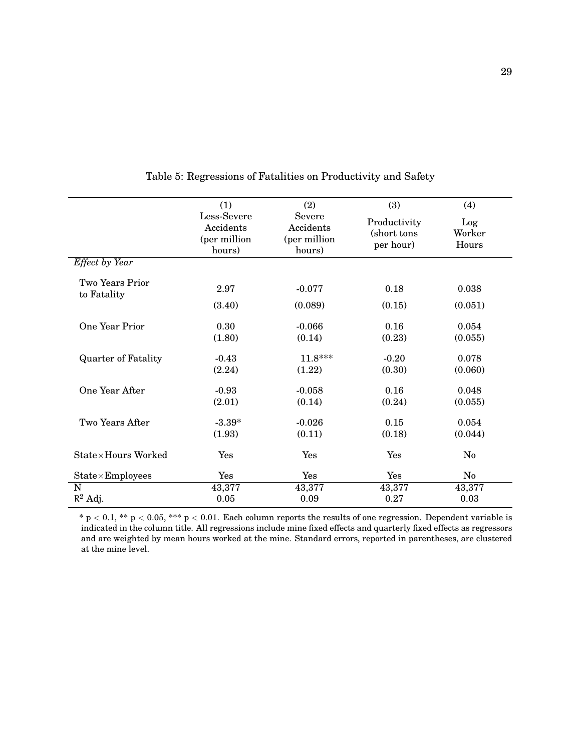<span id="page-28-0"></span>

|                                     | (1)                                                | (2)                                           | (3)                                      | (4)                    |
|-------------------------------------|----------------------------------------------------|-----------------------------------------------|------------------------------------------|------------------------|
|                                     | Less-Severe<br>Accidents<br>(per million<br>hours) | Severe<br>Accidents<br>(per million<br>hours) | Productivity<br>(short tons<br>per hour) | Log<br>Worker<br>Hours |
| Effect by Year                      |                                                    |                                               |                                          |                        |
| Two Years Prior<br>to Fatality      | 2.97                                               | $-0.077$                                      | 0.18                                     | 0.038                  |
|                                     | (3.40)                                             | (0.089)                                       | (0.15)                                   | (0.051)                |
| <b>One Year Prior</b>               | 0.30<br>(1.80)                                     | $-0.066$<br>(0.14)                            | 0.16<br>(0.23)                           | 0.054<br>(0.055)       |
| <b>Quarter of Fatality</b>          | $-0.43$<br>(2.24)                                  | $11.8***$<br>(1.22)                           | $-0.20$<br>(0.30)                        | 0.078<br>(0.060)       |
| One Year After                      | $-0.93$<br>(2.01)                                  | $-0.058$<br>(0.14)                            | 0.16<br>(0.24)                           | 0.048<br>(0.055)       |
| Two Years After                     | $-3.39*$<br>(1.93)                                 | $-0.026$<br>(0.11)                            | 0.15<br>(0.18)                           | 0.054<br>(0.044)       |
| $State \times Hours$ Worked         | Yes                                                | Yes                                           | Yes                                      | No                     |
| $State \times Employes$             | Yes                                                | Yes                                           | Yes                                      | N <sub>0</sub>         |
| $\overline{\text{N}}$<br>$R^2$ Adj. | 43,377<br>0.05                                     | 43,377<br>0.09                                | 43,377<br>0.27                           | 43,377<br>0.03         |

Table 5: Regressions of Fatalities on Productivity and Safety

 $*$  p  $< 0.1, **$  p  $< 0.05, **$  p  $< 0.01.$  Each column reports the results of one regression. Dependent variable is indicated in the column title. All regressions include mine fixed effects and quarterly fixed effects as regressors and are weighted by mean hours worked at the mine. Standard errors, reported in parentheses, are clustered at the mine level.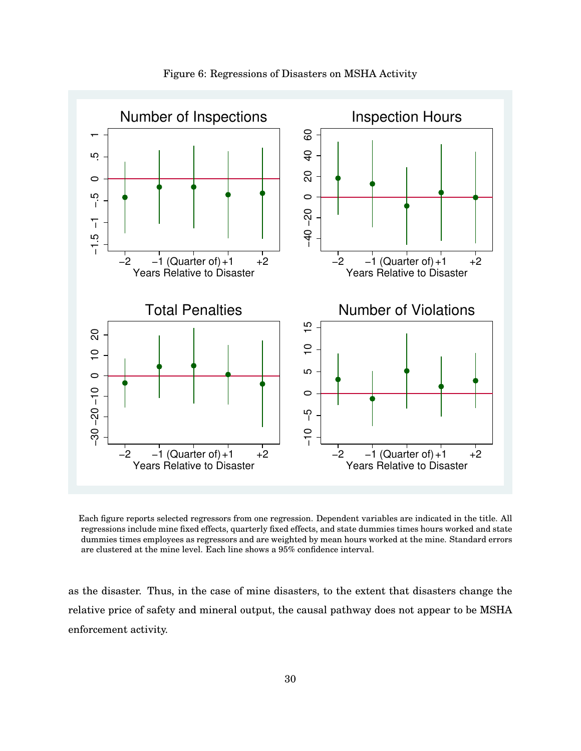<span id="page-29-0"></span>

Figure 6: Regressions of Disasters on MSHA Activity

Each figure reports selected regressors from one regression. Dependent variables are indicated in the title. All regressions include mine fixed effects, quarterly fixed effects, and state dummies times hours worked and state dummies times employees as regressors and are weighted by mean hours worked at the mine. Standard errors are clustered at the mine level. Each line shows a 95% confidence interval.

as the disaster. Thus, in the case of mine disasters, to the extent that disasters change the relative price of safety and mineral output, the causal pathway does not appear to be MSHA enforcement activity.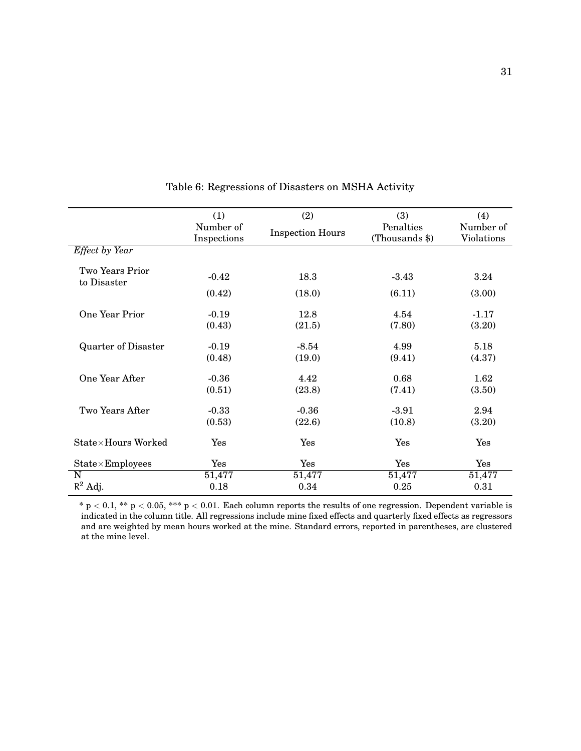<span id="page-30-0"></span>

|                                | (1)                  | (2)                     | (3)            | (4)        |
|--------------------------------|----------------------|-------------------------|----------------|------------|
|                                | Number of            | <b>Inspection Hours</b> | Penalties      | Number of  |
|                                | Inspections          |                         | (Thousands \$) | Violations |
| Effect by Year                 |                      |                         |                |            |
| Two Years Prior<br>to Disaster | $-0.42$              | 18.3                    | $-3.43$        | 3.24       |
|                                | (0.42)               | (18.0)                  | (6.11)         | (3.00)     |
| One Year Prior                 | $-0.19$              | 12.8                    | 4.54           | $-1.17$    |
|                                | (0.43)               | (21.5)                  | (7.80)         | (3.20)     |
| <b>Quarter of Disaster</b>     | $-0.19$              | $-8.54$                 | 4.99           | 5.18       |
|                                | (0.48)               | (19.0)                  | (9.41)         | (4.37)     |
| One Year After                 | $-0.36$              | 4.42                    | 0.68           | 1.62       |
|                                | (0.51)               | (23.8)                  | (7.41)         | (3.50)     |
| Two Years After                | $-0.33$              | $-0.36$                 | $-3.91$        | 2.94       |
|                                | (0.53)               | (22.6)                  | (10.8)         | (3.20)     |
| State×Hours Worked             | $\operatorname{Yes}$ | Yes                     | Yes            | Yes        |
| $State \times Employes$        | Yes                  | Yes                     | Yes            | Yes        |
| N                              | 51,477               | 51,477                  | 51,477         | 51,477     |
| $R^2$ Adj.                     | 0.18                 | 0.34                    | 0.25           | 0.31       |

Table 6: Regressions of Disasters on MSHA Activity

 $*$  p  $< 0.1, **$  p  $< 0.05, **$  p  $< 0.01.$  Each column reports the results of one regression. Dependent variable is indicated in the column title. All regressions include mine fixed effects and quarterly fixed effects as regressors and are weighted by mean hours worked at the mine. Standard errors, reported in parentheses, are clustered at the mine level.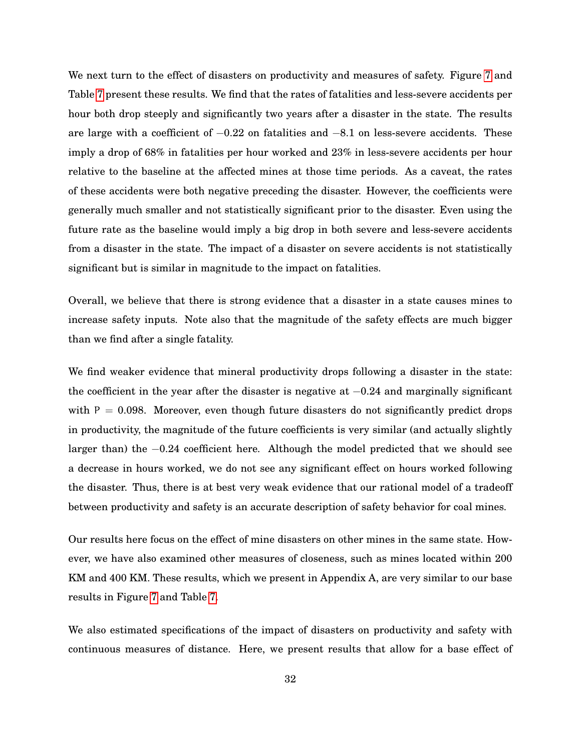We next turn to the effect of disasters on productivity and measures of safety. Figure [7](#page-33-0) and Table [7](#page-32-0) present these results. We find that the rates of fatalities and less-severe accidents per hour both drop steeply and significantly two years after a disaster in the state. The results are large with a coefficient of −0.22 on fatalities and −8.1 on less-severe accidents. These imply a drop of 68% in fatalities per hour worked and 23% in less-severe accidents per hour relative to the baseline at the affected mines at those time periods. As a caveat, the rates of these accidents were both negative preceding the disaster. However, the coefficients were generally much smaller and not statistically significant prior to the disaster. Even using the future rate as the baseline would imply a big drop in both severe and less-severe accidents from a disaster in the state. The impact of a disaster on severe accidents is not statistically significant but is similar in magnitude to the impact on fatalities.

Overall, we believe that there is strong evidence that a disaster in a state causes mines to increase safety inputs. Note also that the magnitude of the safety effects are much bigger than we find after a single fatality.

We find weaker evidence that mineral productivity drops following a disaster in the state: the coefficient in the year after the disaster is negative at  $-0.24$  and marginally significant with  $P = 0.098$ . Moreover, even though future disasters do not significantly predict drops in productivity, the magnitude of the future coefficients is very similar (and actually slightly larger than) the −0.24 coefficient here. Although the model predicted that we should see a decrease in hours worked, we do not see any significant effect on hours worked following the disaster. Thus, there is at best very weak evidence that our rational model of a tradeoff between productivity and safety is an accurate description of safety behavior for coal mines.

Our results here focus on the effect of mine disasters on other mines in the same state. However, we have also examined other measures of closeness, such as mines located within 200 KM and 400 KM. These results, which we present in Appendix A, are very similar to our base results in Figure [7](#page-33-0) and Table [7.](#page-32-0)

We also estimated specifications of the impact of disasters on productivity and safety with continuous measures of distance. Here, we present results that allow for a base effect of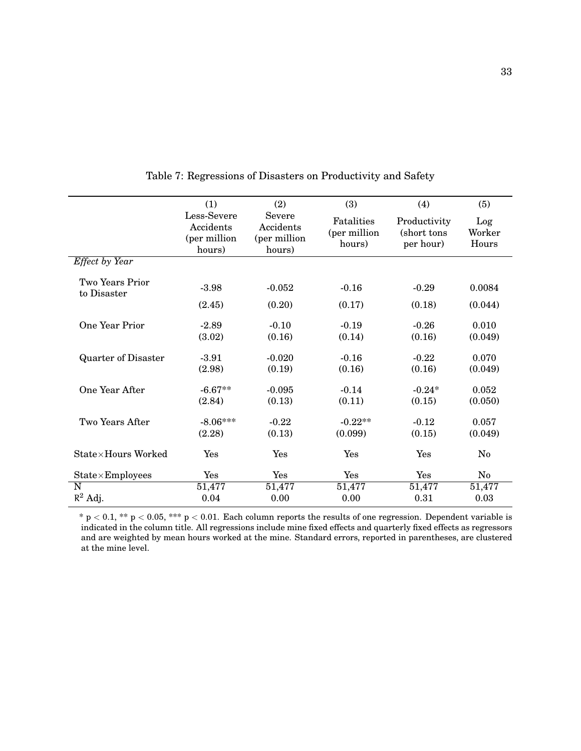<span id="page-32-0"></span>

|                                | (1)                                                | (2)                                           | (3)                                  | (4)                                      | (5)                    |
|--------------------------------|----------------------------------------------------|-----------------------------------------------|--------------------------------------|------------------------------------------|------------------------|
|                                | Less-Severe<br>Accidents<br>(per million<br>hours) | Severe<br>Accidents<br>(per million<br>hours) | Fatalities<br>(per million<br>hours) | Productivity<br>(short tons<br>per hour) | Log<br>Worker<br>Hours |
| <b>Effect by Year</b>          |                                                    |                                               |                                      |                                          |                        |
| Two Years Prior<br>to Disaster | $-3.98$                                            | $-0.052$                                      | $-0.16$                              | $-0.29$                                  | 0.0084                 |
|                                | (2.45)                                             | (0.20)                                        | (0.17)                               | (0.18)                                   | (0.044)                |
| <b>One Year Prior</b>          | $-2.89$<br>(3.02)                                  | $-0.10$<br>(0.16)                             | $-0.19$<br>(0.14)                    | $-0.26$<br>(0.16)                        | 0.010<br>(0.049)       |
| <b>Quarter of Disaster</b>     | $-3.91$<br>(2.98)                                  | $-0.020$<br>(0.19)                            | $-0.16$<br>(0.16)                    | $-0.22$<br>(0.16)                        | 0.070<br>(0.049)       |
| One Year After                 | $-6.67**$<br>(2.84)                                | $-0.095$<br>(0.13)                            | $-0.14$<br>(0.11)                    | $-0.24*$<br>(0.15)                       | 0.052<br>(0.050)       |
| Two Years After                | $-8.06***$<br>(2.28)                               | $-0.22$<br>(0.13)                             | $-0.22**$<br>(0.099)                 | $-0.12$<br>(0.15)                        | 0.057<br>(0.049)       |
| $State \times Hours$ Worked    | Yes                                                | Yes                                           | Yes                                  | Yes                                      | N <sub>0</sub>         |
| $State \times Employes$        | Yes                                                | Yes                                           | Yes                                  | Yes                                      | No                     |
| $\overline{\text{N}}$          | 51,477                                             | 51,477                                        | 51,477                               | 51,477                                   | 51,477                 |
| $\mathbb{R}^2$ Adj.            | 0.04                                               | 0.00                                          | 0.00                                 | 0.31                                     | 0.03                   |

Table 7: Regressions of Disasters on Productivity and Safety

 $* p < 0.1, ** p < 0.05, *** p < 0.01$ . Each column reports the results of one regression. Dependent variable is indicated in the column title. All regressions include mine fixed effects and quarterly fixed effects as regressors and are weighted by mean hours worked at the mine. Standard errors, reported in parentheses, are clustered at the mine level.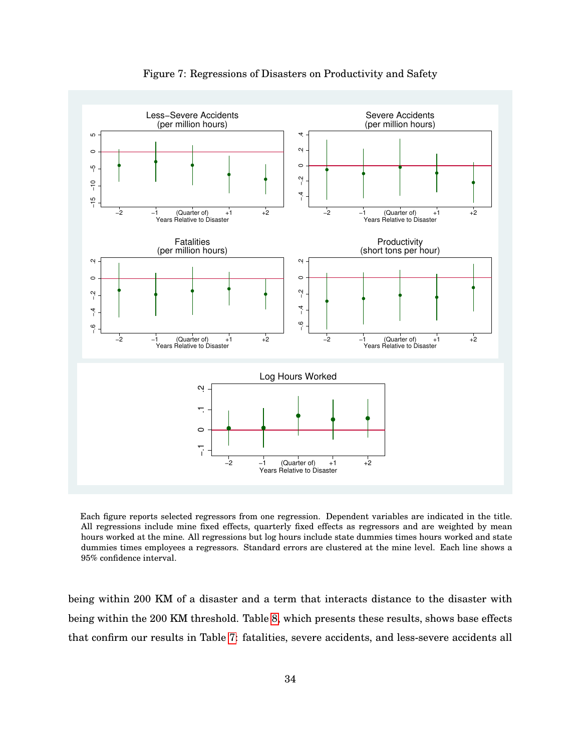<span id="page-33-0"></span>

Figure 7: Regressions of Disasters on Productivity and Safety

Each figure reports selected regressors from one regression. Dependent variables are indicated in the title. All regressions include mine fixed effects, quarterly fixed effects as regressors and are weighted by mean hours worked at the mine. All regressions but log hours include state dummies times hours worked and state dummies times employees a regressors. Standard errors are clustered at the mine level. Each line shows a 95% confidence interval.

being within 200 KM of a disaster and a term that interacts distance to the disaster with being within the 200 KM threshold. Table [8,](#page-35-0) which presents these results, shows base effects that confirm our results in Table [7:](#page-32-0) fatalities, severe accidents, and less-severe accidents all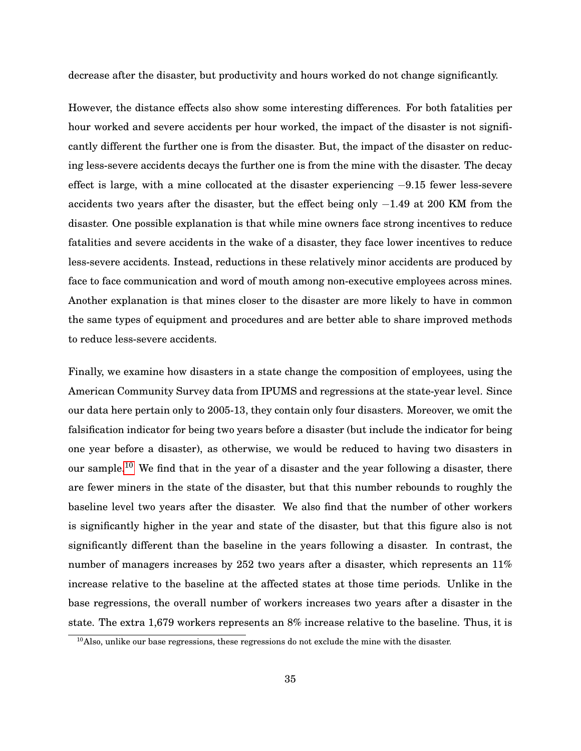decrease after the disaster, but productivity and hours worked do not change significantly.

However, the distance effects also show some interesting differences. For both fatalities per hour worked and severe accidents per hour worked, the impact of the disaster is not significantly different the further one is from the disaster. But, the impact of the disaster on reducing less-severe accidents decays the further one is from the mine with the disaster. The decay effect is large, with a mine collocated at the disaster experiencing −9.15 fewer less-severe accidents two years after the disaster, but the effect being only −1.49 at 200 KM from the disaster. One possible explanation is that while mine owners face strong incentives to reduce fatalities and severe accidents in the wake of a disaster, they face lower incentives to reduce less-severe accidents. Instead, reductions in these relatively minor accidents are produced by face to face communication and word of mouth among non-executive employees across mines. Another explanation is that mines closer to the disaster are more likely to have in common the same types of equipment and procedures and are better able to share improved methods to reduce less-severe accidents.

Finally, we examine how disasters in a state change the composition of employees, using the American Community Survey data from IPUMS and regressions at the state-year level. Since our data here pertain only to 2005-13, they contain only four disasters. Moreover, we omit the falsification indicator for being two years before a disaster (but include the indicator for being one year before a disaster), as otherwise, we would be reduced to having two disasters in our sample.[10](#page-34-0) We find that in the year of a disaster and the year following a disaster, there are fewer miners in the state of the disaster, but that this number rebounds to roughly the baseline level two years after the disaster. We also find that the number of other workers is significantly higher in the year and state of the disaster, but that this figure also is not significantly different than the baseline in the years following a disaster. In contrast, the number of managers increases by 252 two years after a disaster, which represents an 11% increase relative to the baseline at the affected states at those time periods. Unlike in the base regressions, the overall number of workers increases two years after a disaster in the state. The extra 1,679 workers represents an 8% increase relative to the baseline. Thus, it is

<span id="page-34-0"></span><sup>&</sup>lt;sup>10</sup>Also, unlike our base regressions, these regressions do not exclude the mine with the disaster.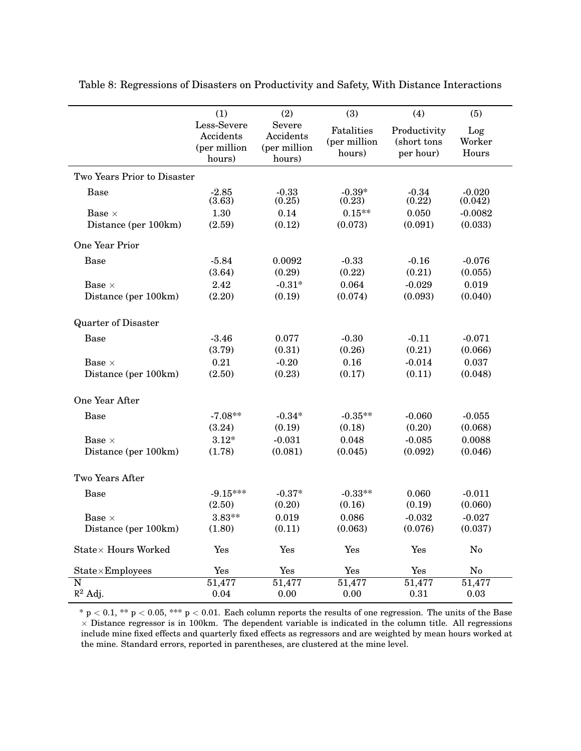|                             | (1)<br>Less-Severe<br>Accidents<br>(per million<br>hours) | (2)<br>Severe<br>Accidents<br>(per million<br>hours) | (3)<br>Fatalities<br>(per million<br>hours) | (4)<br>Productivity<br>(short tons<br>per hour) | (5)<br>Log<br>Worker<br>Hours |
|-----------------------------|-----------------------------------------------------------|------------------------------------------------------|---------------------------------------------|-------------------------------------------------|-------------------------------|
| Two Years Prior to Disaster |                                                           |                                                      |                                             |                                                 |                               |
| Base                        | $-2.85$                                                   | $-0.33$                                              | $-0.39*$                                    | $-0.34$                                         | $-0.020$                      |
|                             | (3.63)                                                    | (0.25)                                               | (0.23)                                      | (0.22)                                          | (0.042)                       |
| Base $\times$               | 1.30                                                      | 0.14                                                 | $0.15**$                                    | 0.050                                           | $-0.0082$                     |
| Distance (per 100km)        | (2.59)                                                    | (0.12)                                               | (0.073)                                     | (0.091)                                         | (0.033)                       |
| One Year Prior              |                                                           |                                                      |                                             |                                                 |                               |
| Base                        | $-5.84$                                                   | 0.0092                                               | $-0.33$                                     | $-0.16$                                         | $-0.076$                      |
|                             | (3.64)                                                    | (0.29)                                               | (0.22)                                      | (0.21)                                          | (0.055)                       |
| Base $\times$               | 2.42                                                      | $-0.31*$                                             | 0.064                                       | $-0.029$                                        | 0.019                         |
| Distance (per 100km)        | (2.20)                                                    | (0.19)                                               | (0.074)                                     | (0.093)                                         | (0.040)                       |
| <b>Quarter of Disaster</b>  |                                                           |                                                      |                                             |                                                 |                               |
| Base                        | $-3.46$                                                   | 0.077                                                | $-0.30$                                     | $-0.11$                                         | $-0.071$                      |
|                             | (3.79)                                                    | (0.31)                                               | (0.26)                                      | (0.21)                                          | (0.066)                       |
| Base $\times$               | 0.21                                                      | $-0.20$                                              | 0.16                                        | $-0.014$                                        | 0.037                         |
| Distance (per 100km)        | (2.50)                                                    | (0.23)                                               | (0.17)                                      | (0.11)                                          | (0.048)                       |
| One Year After              |                                                           |                                                      |                                             |                                                 |                               |
| Base                        | $-7.08**$                                                 | $-0.34*$                                             | $-0.35**$                                   | $-0.060$                                        | $-0.055$                      |
|                             | (3.24)                                                    | (0.19)                                               | (0.18)                                      | (0.20)                                          | (0.068)                       |
| Base $\times$               | $3.12*$                                                   | $-0.031$                                             | 0.048                                       | $-0.085$                                        | 0.0088                        |
| Distance (per 100km)        | (1.78)                                                    | (0.081)                                              | (0.045)                                     | (0.092)                                         | (0.046)                       |
| Two Years After             |                                                           |                                                      |                                             |                                                 |                               |
| Base                        | $-9.15***$                                                | $-0.37*$                                             | $-0.33**$                                   | 0.060                                           | $-0.011$                      |
|                             | (2.50)                                                    | (0.20)                                               | (0.16)                                      | (0.19)                                          | (0.060)                       |
| Base $\times$               | $3.83**$                                                  | 0.019                                                | 0.086                                       | $-0.032$                                        | $-0.027$                      |
| Distance (per 100km)        | (1.80)                                                    | (0.11)                                               | (0.063)                                     | (0.076)                                         | (0.037)                       |
| State× Hours Worked         | Yes                                                       | Yes                                                  | Yes                                         | Yes                                             | No                            |
| $State \times Employes$     | Yes                                                       | Yes                                                  | Yes                                         | Yes                                             | No                            |
| N                           | 51,477                                                    | 51,477                                               | 51,477                                      | 51,477                                          | 51,477                        |
| $\mathbb{R}^2$ Adj.         | 0.04                                                      | 0.00                                                 | 0.00                                        | $\rm 0.31$                                      | 0.03                          |

<span id="page-35-0"></span>Table 8: Regressions of Disasters on Productivity and Safety, With Distance Interactions

 $*$  p  $< 0.1$ ,  $**$  p  $< 0.05$ ,  $**$  p  $< 0.01$ . Each column reports the results of one regression. The units of the Base  $\times$  Distance regressor is in 100km. The dependent variable is indicated in the column title. All regressions include mine fixed effects and quarterly fixed effects as regressors and are weighted by mean hours worked at the mine. Standard errors, reported in parentheses, are clustered at the mine level.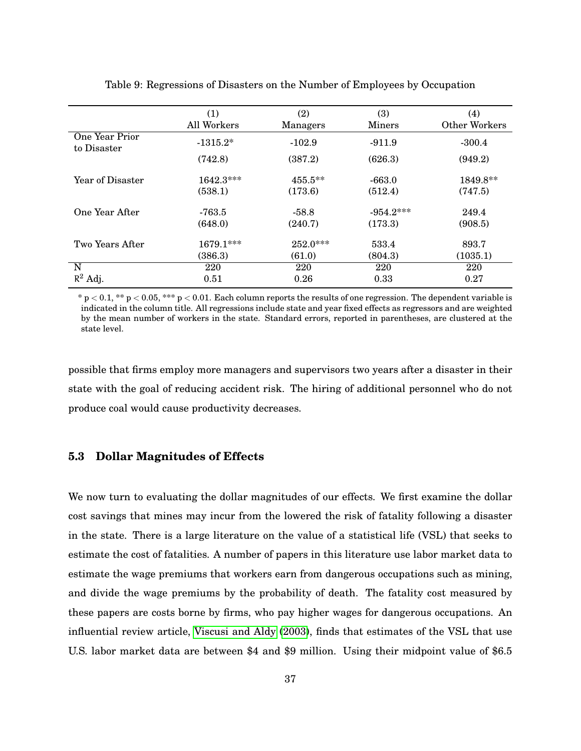|                               | (1)<br>All Workers | (2)<br><b>Managers</b> | (3)<br><b>Miners</b> | (4)<br>Other Workers |
|-------------------------------|--------------------|------------------------|----------------------|----------------------|
| One Year Prior<br>to Disaster | $-1315.2*$         | $-102.9$               | $-911.9$             | $-300.4$             |
|                               | (742.8)            | (387.2)                | (626.3)              | (949.2)              |
| Year of Disaster              | 1642.3***          | $455.5**$              | $-663.0$             | 1849.8**             |
|                               | (538.1)            | (173.6)                | (512.4)              | (747.5)              |
| One Year After                | -763.5             | $-58.8$                | $-954.2***$          | 249.4                |
|                               | (648.0)            | (240.7)                | (173.3)              | (908.5)              |
| Two Years After               | 1679.1***          | $252.0***$             | 533.4                | 893.7                |
|                               | (386.3)            | (61.0)                 | (804.3)              | (1035.1)             |
| N                             | 220                | 220                    | 220                  | 220                  |
| $R^2$ Adj.                    | 0.51               | 0.26                   | 0.33                 | 0.27                 |

Table 9: Regressions of Disasters on the Number of Employees by Occupation

 $p < 0.1$ ,  $\ast p < 0.05$ ,  $\ast \ast p < 0.01$ . Each column reports the results of one regression. The dependent variable is indicated in the column title. All regressions include state and year fixed effects as regressors and are weighted by the mean number of workers in the state. Standard errors, reported in parentheses, are clustered at the state level.

possible that firms employ more managers and supervisors two years after a disaster in their state with the goal of reducing accident risk. The hiring of additional personnel who do not produce coal would cause productivity decreases.

## **5.3 Dollar Magnitudes of Effects**

We now turn to evaluating the dollar magnitudes of our effects. We first examine the dollar cost savings that mines may incur from the lowered the risk of fatality following a disaster in the state. There is a large literature on the value of a statistical life (VSL) that seeks to estimate the cost of fatalities. A number of papers in this literature use labor market data to estimate the wage premiums that workers earn from dangerous occupations such as mining, and divide the wage premiums by the probability of death. The fatality cost measured by these papers are costs borne by firms, who pay higher wages for dangerous occupations. An influential review article, [Viscusi and Aldy](#page-43-0) [\(2003\)](#page-43-0), finds that estimates of the VSL that use U.S. labor market data are between \$4 and \$9 million. Using their midpoint value of \$6.5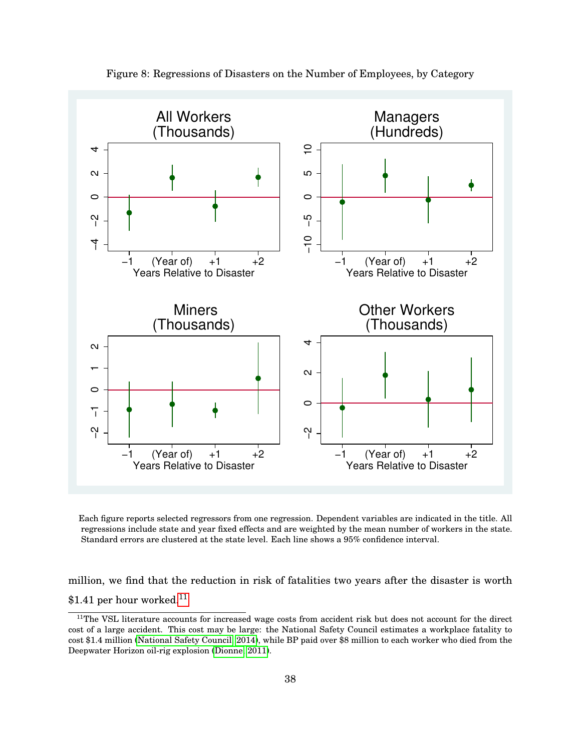

Figure 8: Regressions of Disasters on the Number of Employees, by Category

Each figure reports selected regressors from one regression. Dependent variables are indicated in the title. All regressions include state and year fixed effects and are weighted by the mean number of workers in the state. Standard errors are clustered at the state level. Each line shows a 95% confidence interval.

million, we find that the reduction in risk of fatalities two years after the disaster is worth \$1.41 per hour worked.<sup>[11](#page-37-0)</sup>

<span id="page-37-0"></span><sup>&</sup>lt;sup>11</sup>The VSL literature accounts for increased wage costs from accident risk but does not account for the direct cost of a large accident. This cost may be large: the National Safety Council estimates a workplace fatality to cost \$1.4 million [\(National Safety Council, 2014\)](#page-42-3), while BP paid over \$8 million to each worker who died from the Deepwater Horizon oil-rig explosion [\(Dionne, 2011\)](#page-41-11).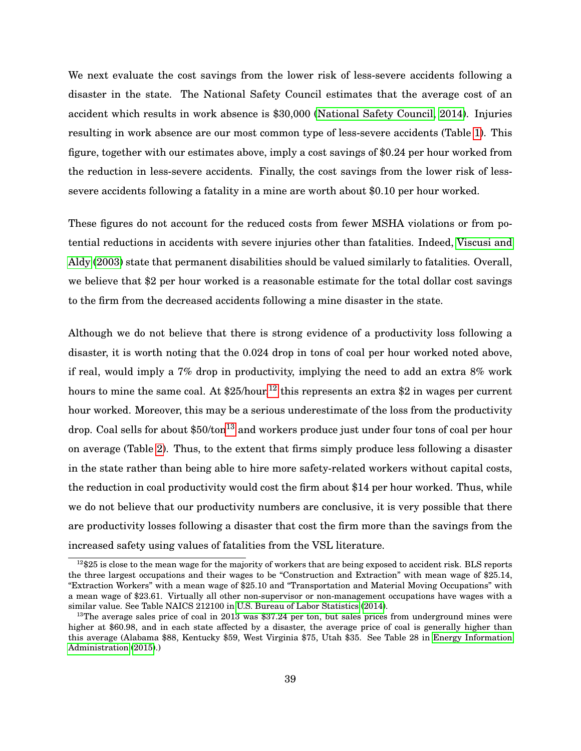We next evaluate the cost savings from the lower risk of less-severe accidents following a disaster in the state. The National Safety Council estimates that the average cost of an accident which results in work absence is \$30,000 [\(National Safety Council, 2014\)](#page-42-3). Injuries resulting in work absence are our most common type of less-severe accidents (Table [1\)](#page-17-0). This figure, together with our estimates above, imply a cost savings of \$0.24 per hour worked from the reduction in less-severe accidents. Finally, the cost savings from the lower risk of lesssevere accidents following a fatality in a mine are worth about \$0.10 per hour worked.

These figures do not account for the reduced costs from fewer MSHA violations or from potential reductions in accidents with severe injuries other than fatalities. Indeed, [Viscusi and](#page-43-0) [Aldy](#page-43-0) [\(2003\)](#page-43-0) state that permanent disabilities should be valued similarly to fatalities. Overall, we believe that \$2 per hour worked is a reasonable estimate for the total dollar cost savings to the firm from the decreased accidents following a mine disaster in the state.

Although we do not believe that there is strong evidence of a productivity loss following a disaster, it is worth noting that the 0.024 drop in tons of coal per hour worked noted above, if real, would imply a 7% drop in productivity, implying the need to add an extra 8% work hours to mine the same coal. At  $$25/hour$ ,<sup>[12](#page-38-0)</sup> this represents an extra  $$2$  in wages per current hour worked. Moreover, this may be a serious underestimate of the loss from the productivity drop. Coal sells for about  $$50/ton<sup>13</sup>$  $$50/ton<sup>13</sup>$  $$50/ton<sup>13</sup>$  and workers produce just under four tons of coal per hour on average (Table [2\)](#page-21-0). Thus, to the extent that firms simply produce less following a disaster in the state rather than being able to hire more safety-related workers without capital costs, the reduction in coal productivity would cost the firm about \$14 per hour worked. Thus, while we do not believe that our productivity numbers are conclusive, it is very possible that there are productivity losses following a disaster that cost the firm more than the savings from the increased safety using values of fatalities from the VSL literature.

<span id="page-38-0"></span> $12\frac{2}{2}$  is close to the mean wage for the majority of workers that are being exposed to accident risk. BLS reports the three largest occupations and their wages to be "Construction and Extraction" with mean wage of \$25.14, "Extraction Workers" with a mean wage of \$25.10 and "Transportation and Material Moving Occupations" with a mean wage of \$23.61. Virtually all other non-supervisor or non-management occupations have wages with a similar value. See Table NAICS 212100 in [U.S. Bureau of Labor Statistics](#page-42-11) [\(2014\)](#page-42-11).

<span id="page-38-1"></span> $13$ The average sales price of coal in 2013 was \$37.24 per ton, but sales prices from underground mines were higher at \$60.98, and in each state affected by a disaster, the average price of coal is generally higher than this average (Alabama \$88, Kentucky \$59, West Virginia \$75, Utah \$35. See Table 28 in [Energy Information](#page-41-12) [Administration](#page-41-12) [\(2015\)](#page-41-12).)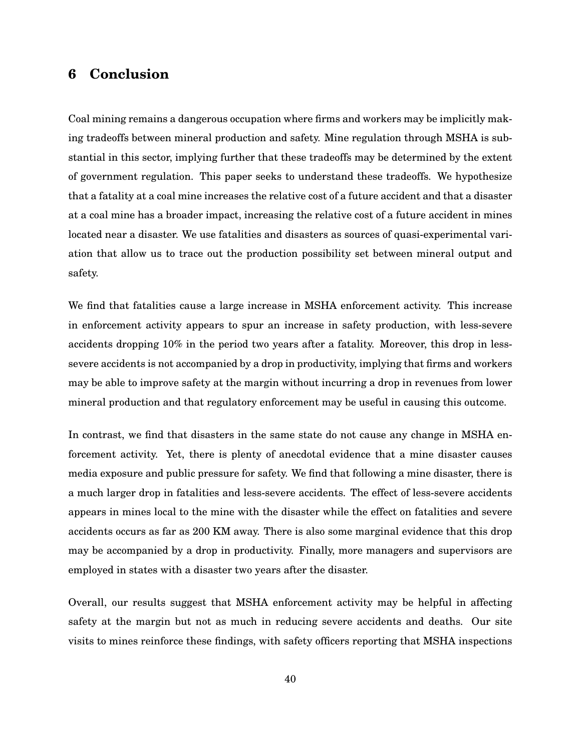# **6 Conclusion**

Coal mining remains a dangerous occupation where firms and workers may be implicitly making tradeoffs between mineral production and safety. Mine regulation through MSHA is substantial in this sector, implying further that these tradeoffs may be determined by the extent of government regulation. This paper seeks to understand these tradeoffs. We hypothesize that a fatality at a coal mine increases the relative cost of a future accident and that a disaster at a coal mine has a broader impact, increasing the relative cost of a future accident in mines located near a disaster. We use fatalities and disasters as sources of quasi-experimental variation that allow us to trace out the production possibility set between mineral output and safety.

We find that fatalities cause a large increase in MSHA enforcement activity. This increase in enforcement activity appears to spur an increase in safety production, with less-severe accidents dropping 10% in the period two years after a fatality. Moreover, this drop in lesssevere accidents is not accompanied by a drop in productivity, implying that firms and workers may be able to improve safety at the margin without incurring a drop in revenues from lower mineral production and that regulatory enforcement may be useful in causing this outcome.

In contrast, we find that disasters in the same state do not cause any change in MSHA enforcement activity. Yet, there is plenty of anecdotal evidence that a mine disaster causes media exposure and public pressure for safety. We find that following a mine disaster, there is a much larger drop in fatalities and less-severe accidents. The effect of less-severe accidents appears in mines local to the mine with the disaster while the effect on fatalities and severe accidents occurs as far as 200 KM away. There is also some marginal evidence that this drop may be accompanied by a drop in productivity. Finally, more managers and supervisors are employed in states with a disaster two years after the disaster.

Overall, our results suggest that MSHA enforcement activity may be helpful in affecting safety at the margin but not as much in reducing severe accidents and deaths. Our site visits to mines reinforce these findings, with safety officers reporting that MSHA inspections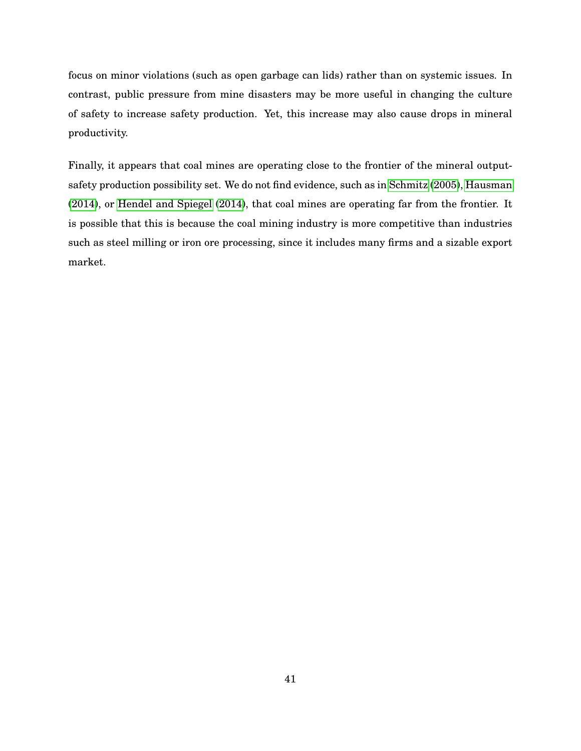focus on minor violations (such as open garbage can lids) rather than on systemic issues. In contrast, public pressure from mine disasters may be more useful in changing the culture of safety to increase safety production. Yet, this increase may also cause drops in mineral productivity.

Finally, it appears that coal mines are operating close to the frontier of the mineral outputsafety production possibility set. We do not find evidence, such as in [Schmitz](#page-42-1) [\(2005\)](#page-42-1), [Hausman](#page-41-9) [\(2014\)](#page-41-9), or [Hendel and Spiegel](#page-41-5) [\(2014\)](#page-41-5), that coal mines are operating far from the frontier. It is possible that this is because the coal mining industry is more competitive than industries such as steel milling or iron ore processing, since it includes many firms and a sizable export market.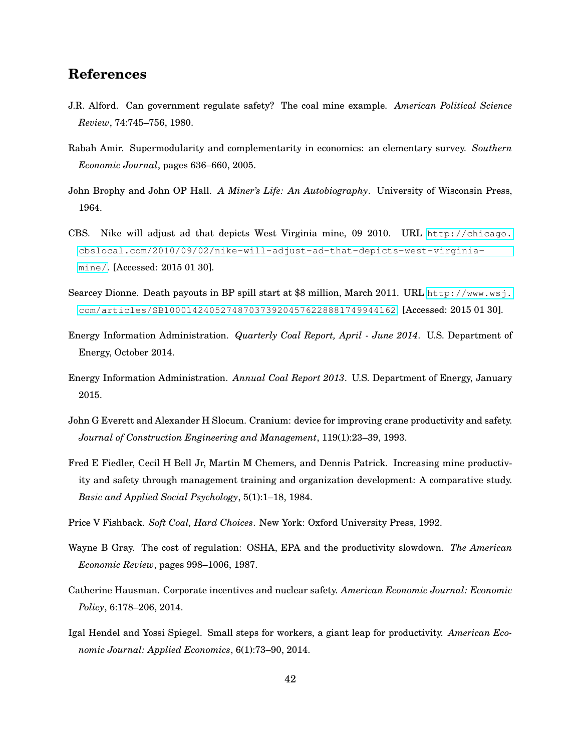# **References**

- <span id="page-41-0"></span>J.R. Alford. Can government regulate safety? The coal mine example. *American Political Science Review*, 74:745–756, 1980.
- <span id="page-41-10"></span>Rabah Amir. Supermodularity and complementarity in economics: an elementary survey. *Southern Economic Journal*, pages 636–660, 2005.
- <span id="page-41-7"></span>John Brophy and John OP Hall. *A Miner's Life: An Autobiography*. University of Wisconsin Press, 1964.
- <span id="page-41-2"></span>CBS. Nike will adjust ad that depicts West Virginia mine, 09 2010. URL [http://chicago.](http://chicago.cbslocal.com/2010/09/02/nike-will-adjust-ad-that-depicts-west-virginia-mine/) [cbslocal.com/2010/09/02/nike-will-adjust-ad-that-depicts-west-virginia](http://chicago.cbslocal.com/2010/09/02/nike-will-adjust-ad-that-depicts-west-virginia-mine/)[mine/](http://chicago.cbslocal.com/2010/09/02/nike-will-adjust-ad-that-depicts-west-virginia-mine/). [Accessed: 2015 01 30].
- <span id="page-41-11"></span>Searcey Dionne. Death payouts in BP spill start at \$8 million, March 2011. URL [http://www.wsj.](http://www.wsj.com/articles/SB10001424052748703739204576228881749944162) [com/articles/SB10001424052748703739204576228881749944162](http://www.wsj.com/articles/SB10001424052748703739204576228881749944162). [Accessed: 2015 01 30].
- <span id="page-41-1"></span>Energy Information Administration. *Quarterly Coal Report, April - June 2014*. U.S. Department of Energy, October 2014.
- <span id="page-41-12"></span>Energy Information Administration. *Annual Coal Report 2013*. U.S. Department of Energy, January 2015.
- <span id="page-41-4"></span>John G Everett and Alexander H Slocum. Cranium: device for improving crane productivity and safety. *Journal of Construction Engineering and Management*, 119(1):23–39, 1993.
- <span id="page-41-3"></span>Fred E Fiedler, Cecil H Bell Jr, Martin M Chemers, and Dennis Patrick. Increasing mine productivity and safety through management training and organization development: A comparative study. *Basic and Applied Social Psychology*, 5(1):1–18, 1984.
- <span id="page-41-6"></span>Price V Fishback. *Soft Coal, Hard Choices*. New York: Oxford University Press, 1992.
- <span id="page-41-8"></span>Wayne B Gray. The cost of regulation: OSHA, EPA and the productivity slowdown. *The American Economic Review*, pages 998–1006, 1987.
- <span id="page-41-9"></span>Catherine Hausman. Corporate incentives and nuclear safety. *American Economic Journal: Economic Policy*, 6:178–206, 2014.
- <span id="page-41-5"></span>Igal Hendel and Yossi Spiegel. Small steps for workers, a giant leap for productivity. *American Economic Journal: Applied Economics*, 6(1):73–90, 2014.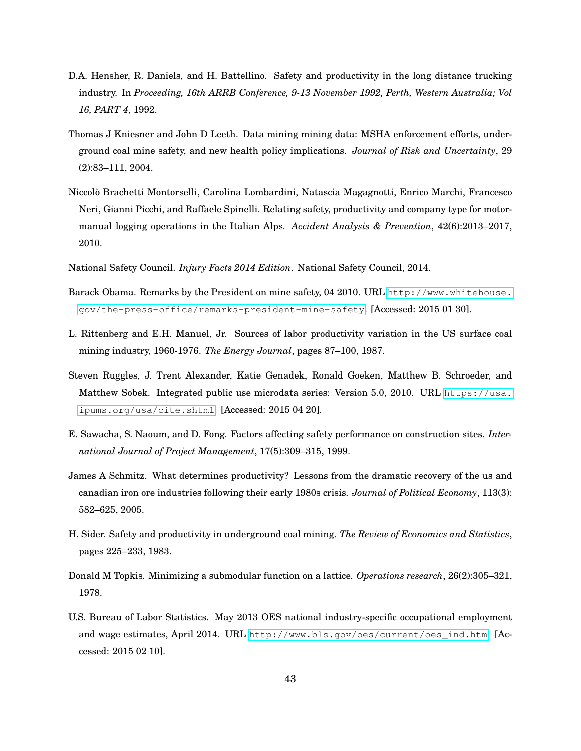- <span id="page-42-7"></span>D.A. Hensher, R. Daniels, and H. Battellino. Safety and productivity in the long distance trucking industry. In *Proceeding, 16th ARRB Conference, 9-13 November 1992, Perth, Western Australia; Vol 16, PART 4*, 1992.
- <span id="page-42-5"></span>Thomas J Kniesner and John D Leeth. Data mining mining data: MSHA enforcement efforts, underground coal mine safety, and new health policy implications. *Journal of Risk and Uncertainty*, 29 (2):83–111, 2004.
- <span id="page-42-2"></span>Niccolo Brachetti Montorselli, Carolina Lombardini, Natascia Magagnotti, Enrico Marchi, Francesco ` Neri, Gianni Picchi, and Raffaele Spinelli. Relating safety, productivity and company type for motormanual logging operations in the Italian Alps. *Accident Analysis & Prevention*, 42(6):2013–2017, 2010.
- <span id="page-42-3"></span>National Safety Council. *Injury Facts 2014 Edition*. National Safety Council, 2014.
- <span id="page-42-0"></span>Barack Obama. Remarks by the President on mine safety, 04 2010. URL [http://www.whitehouse.](http://www.whitehouse.gov/the-press-office/remarks-president-mine-safety) [gov/the-press-office/remarks-president-mine-safety](http://www.whitehouse.gov/the-press-office/remarks-president-mine-safety). [Accessed: 2015 01 30].
- <span id="page-42-8"></span>L. Rittenberg and E.H. Manuel, Jr. Sources of labor productivity variation in the US surface coal mining industry, 1960-1976. *The Energy Journal*, pages 87–100, 1987.
- <span id="page-42-10"></span>Steven Ruggles, J. Trent Alexander, Katie Genadek, Ronald Goeken, Matthew B. Schroeder, and Matthew Sobek. Integrated public use microdata series: Version 5.0, 2010. URL [https://usa.](https://usa.ipums.org/usa/cite.shtml) [ipums.org/usa/cite.shtml](https://usa.ipums.org/usa/cite.shtml). [Accessed:  $20150420$ ].
- <span id="page-42-6"></span>E. Sawacha, S. Naoum, and D. Fong. Factors affecting safety performance on construction sites. *International Journal of Project Management*, 17(5):309–315, 1999.
- <span id="page-42-1"></span>James A Schmitz. What determines productivity? Lessons from the dramatic recovery of the us and canadian iron ore industries following their early 1980s crisis. *Journal of Political Economy*, 113(3): 582–625, 2005.
- <span id="page-42-4"></span>H. Sider. Safety and productivity in underground coal mining. *The Review of Economics and Statistics*, pages 225–233, 1983.
- <span id="page-42-9"></span>Donald M Topkis. Minimizing a submodular function on a lattice. *Operations research*, 26(2):305–321, 1978.
- <span id="page-42-11"></span>U.S. Bureau of Labor Statistics. May 2013 OES national industry-specific occupational employment and wage estimates, April 2014. URL [http://www.bls.gov/oes/current/oes\\_ind.htm](http://www.bls.gov/oes/current/oes_ind.htm). [Accessed: 2015 02 10].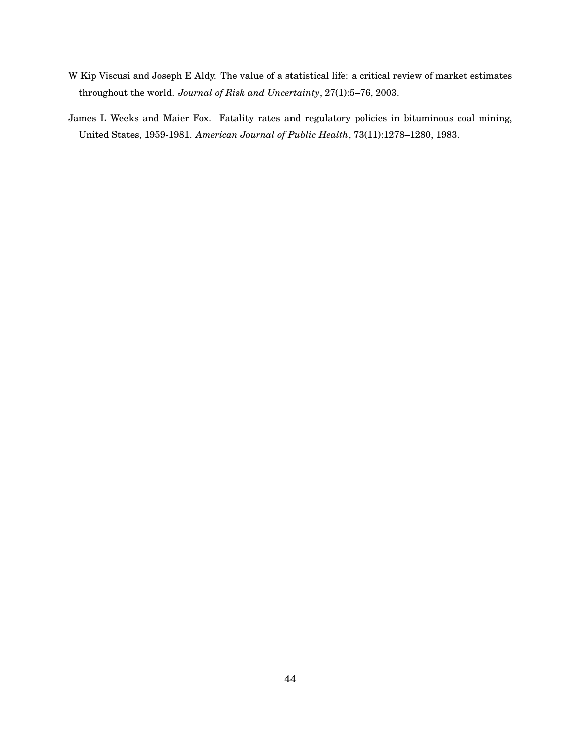- <span id="page-43-0"></span>W Kip Viscusi and Joseph E Aldy. The value of a statistical life: a critical review of market estimates throughout the world. *Journal of Risk and Uncertainty*, 27(1):5–76, 2003.
- <span id="page-43-1"></span>James L Weeks and Maier Fox. Fatality rates and regulatory policies in bituminous coal mining, United States, 1959-1981. *American Journal of Public Health*, 73(11):1278–1280, 1983.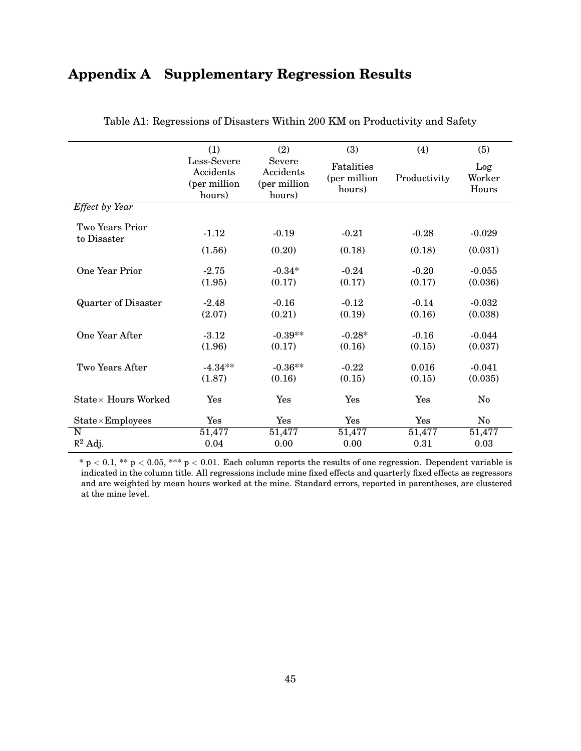# **Appendix A Supplementary Regression Results**

|                             | (1)<br>Less-Severe | (2)          | (3)          | (4)          | (5)      |
|-----------------------------|--------------------|--------------|--------------|--------------|----------|
|                             | Accidents          | Severe       | Fatalities   |              | Log      |
|                             |                    | Accidents    | (per million | Productivity | Worker   |
|                             | (per million       | (per million | hours)       |              | Hours    |
|                             | hours)             | hours)       |              |              |          |
| Effect by Year              |                    |              |              |              |          |
| Two Years Prior             |                    |              |              |              |          |
|                             | $-1.12$            | $-0.19$      | $-0.21$      | $-0.28$      | $-0.029$ |
| to Disaster                 |                    |              |              |              |          |
|                             | (1.56)             | (0.20)       | (0.18)       | (0.18)       | (0.031)  |
| <b>One Year Prior</b>       | $-2.75$            | $-0.34*$     | $-0.24$      | $-0.20$      | $-0.055$ |
|                             | (1.95)             | (0.17)       | (0.17)       | (0.17)       | (0.036)  |
|                             |                    |              |              |              |          |
| <b>Quarter of Disaster</b>  | $-2.48$            | $-0.16$      | $-0.12$      | $-0.14$      | $-0.032$ |
|                             | (2.07)             | (0.21)       | (0.19)       | (0.16)       | (0.038)  |
|                             |                    |              |              |              |          |
| One Year After              | $-3.12$            | $-0.39**$    | $-0.28*$     | $-0.16$      | $-0.044$ |
|                             | (1.96)             | (0.17)       | (0.16)       | (0.15)       | (0.037)  |
|                             |                    |              |              |              |          |
| Two Years After             | $-4.34**$          | $-0.36**$    | $-0.22$      | 0.016        | $-0.041$ |
|                             | (1.87)             | (0.16)       | (0.15)       | (0.15)       | (0.035)  |
|                             |                    |              |              |              |          |
| $State \times$ Hours Worked | Yes                | Yes          | Yes          | Yes          | No       |
|                             |                    |              |              |              |          |
| $State \times Employes$     | Yes                | Yes          | Yes          | Yes          | No       |
| $\overline{\text{N}}$       | 51,477             | 51,477       | 51,477       | 51,477       | 51,477   |
| $R^2$ Adj.                  | 0.04               | 0.00         | 0.00         | 0.31         | 0.03     |

Table A1: Regressions of Disasters Within 200 KM on Productivity and Safety

 $*$  p  $< 0.1, **$  p  $< 0.05, **$  p  $< 0.01.$  Each column reports the results of one regression. Dependent variable is indicated in the column title. All regressions include mine fixed effects and quarterly fixed effects as regressors and are weighted by mean hours worked at the mine. Standard errors, reported in parentheses, are clustered at the mine level.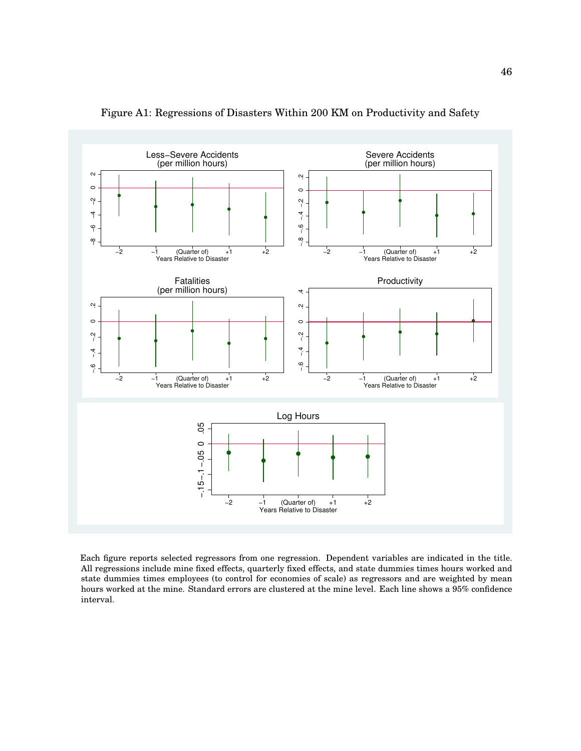

Figure A1: Regressions of Disasters Within 200 KM on Productivity and Safety

Each figure reports selected regressors from one regression. Dependent variables are indicated in the title. All regressions include mine fixed effects, quarterly fixed effects, and state dummies times hours worked and state dummies times employees (to control for economies of scale) as regressors and are weighted by mean hours worked at the mine. Standard errors are clustered at the mine level. Each line shows a 95% confidence interval.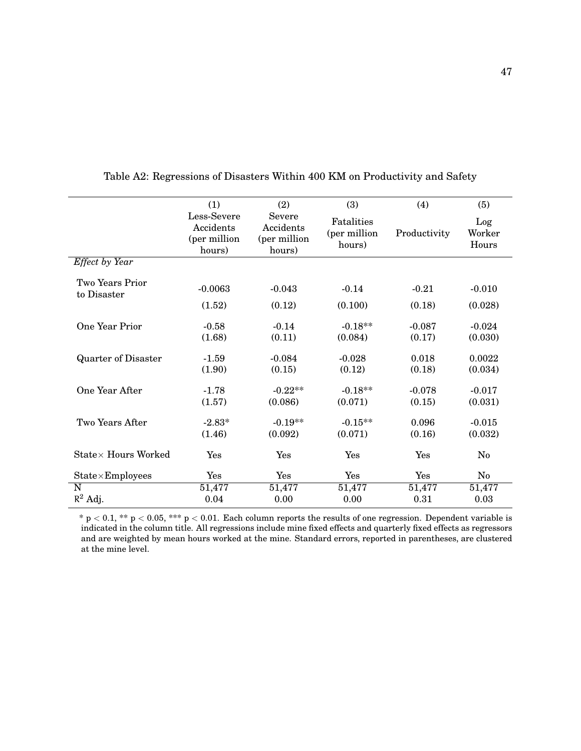|                                | (1)                                                | (2)                                           | (3)                                  | (4)                | (5)                    |
|--------------------------------|----------------------------------------------------|-----------------------------------------------|--------------------------------------|--------------------|------------------------|
|                                | Less-Severe<br>Accidents<br>(per million<br>hours) | Severe<br>Accidents<br>(per million<br>hours) | Fatalities<br>(per million<br>hours) | Productivity       | Log<br>Worker<br>Hours |
| <b>Effect by Year</b>          |                                                    |                                               |                                      |                    |                        |
| Two Years Prior<br>to Disaster | $-0.0063$                                          | $-0.043$                                      | $-0.14$                              | $-0.21$            | $-0.010$               |
|                                | (1.52)                                             | (0.12)                                        | (0.100)                              | (0.18)             | (0.028)                |
| <b>One Year Prior</b>          | $-0.58$<br>(1.68)                                  | $-0.14$<br>(0.11)                             | $-0.18**$<br>(0.084)                 | $-0.087$<br>(0.17) | $-0.024$<br>(0.030)    |
| <b>Quarter of Disaster</b>     | $-1.59$<br>(1.90)                                  | $-0.084$<br>(0.15)                            | $-0.028$<br>(0.12)                   | 0.018<br>(0.18)    | 0.0022<br>(0.034)      |
| One Year After                 | $-1.78$<br>(1.57)                                  | $-0.22**$<br>(0.086)                          | $-0.18**$<br>(0.071)                 | $-0.078$<br>(0.15) | $-0.017$<br>(0.031)    |
| Two Years After                | $-2.83*$<br>(1.46)                                 | $-0.19**$<br>(0.092)                          | $-0.15**$<br>(0.071)                 | 0.096<br>(0.16)    | $-0.015$<br>(0.032)    |
| $State \times$ Hours Worked    | Yes                                                | Yes                                           | $\operatorname{Yes}$                 | Yes                | No                     |
| $State \times Employes$        | Yes                                                | Yes                                           | $\operatorname{Yes}$                 | Yes                | No                     |
| $\overline{\text{N}}$          | 51,477                                             | 51,477                                        | 51,477                               | 51,477             | 51,477                 |
| $R^2$ Adj.                     | 0.04                                               | 0.00                                          | 0.00                                 | 0.31               | 0.03                   |

Table A2: Regressions of Disasters Within 400 KM on Productivity and Safety

 $*$  p  $< 0.1$ ,  $**$  p  $< 0.05$ ,  $***$  p  $< 0.01$ . Each column reports the results of one regression. Dependent variable is indicated in the column title. All regressions include mine fixed effects and quarterly fixed effects as regressors and are weighted by mean hours worked at the mine. Standard errors, reported in parentheses, are clustered at the mine level.